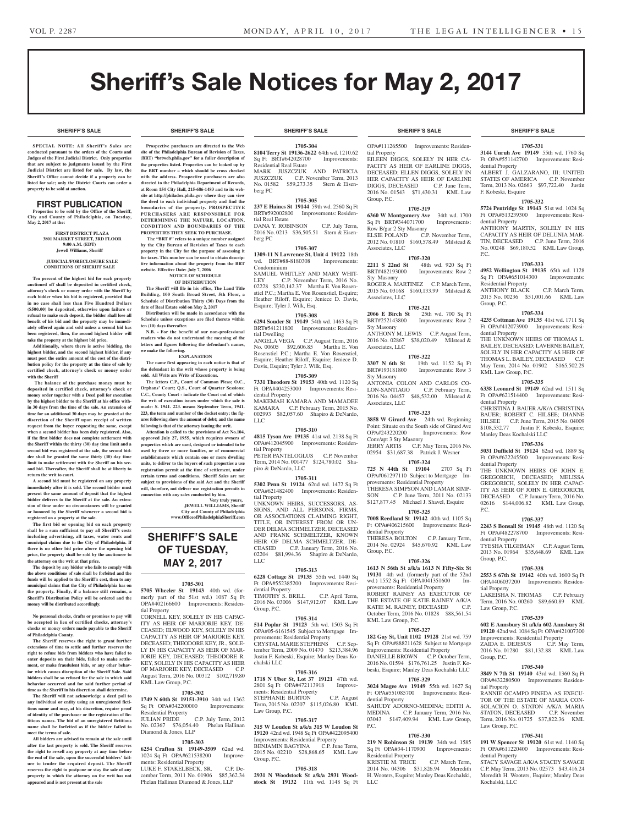**SHERIFF'S SALE SHERIFF'S SALE SHERIFF'S SALE SHERIFF'S SALE SHERIFF'S SALE**

# Sheriff's Sale Notices for May 2, 2017

**SPECIAL NOTE: All Sheriff 's Sales are conducted pursuant to the orders of the Courts and Judges of the First Judicial District. Only properties that are subject to judgments issued by the First Judicial District are listed for sale. By law, the Sheriff's Office cannot decide if a property can be listed for sale; only the District Courts can order a property to be sold at auction.** 

### FIRST PUBLICATION

**Properties to be sold by the Office of the Sheriff, City and County of Philadelphia, on Tuesday, May 2, 2017 at the:** 

#### **FIRST DISTRICT PLAZA 3801 MARKET STREET, 3RD FLOOR 9:00 A.M. (EDT) Jewell Williams, Sheriff**

#### **JUDICIAL/FORECLOSURE SALE CONDITIONS OF SHERIFF SALE**

**Ten percent of the highest bid for each property auctioned off shall be deposited in certified check, attorney's check or money order with the Sheriff by each bidder when his bid is registered, provided that in no case shall less than Five Hundred Dollars (\$500.00) be deposited, otherwise upon failure or refusal to make such deposit, the bidder shall lose all benefit of his bid and the property may be immediately offered again and sold unless a second bid has been registered, then, the second highest bidder will take the property at the highest bid price.**

**Additionally, where there is active bidding, the highest bidder, and the second highest bidder, if any must post the entire amount of the cost of the distribution policy for the property at the time of sale by certified check, attorney's check or money order with the Sheriff**

 **The balance of the purchase money must be deposited in certified check, attorney's check or money order together with a Deed poll for execution by the highest bidder to the Sheriff at his office within 30 days from the time of the sale. An extension of time for an additional 30 days may be granted at the discretion of the Sheriff upon receipt of written request from the buyer requesting the same, except when a second bidder has been duly registered. Also, if the first bidder does not complete settlement with the Sheriff within the thirty (30) day time limit and a second bid was registered at the sale, the second bidder shall be granted the same thirty (30) day time limit to make settlement with the Sheriff on his second bid. Thereafter, the Sheriff shall be at liberty to return the writ to court.**

**A second bid must be registered on any property immediately after it is sold. The second bidder must present the same amount of deposit that the highest bidder delivers to the Sheriff at the sale. An extension of time under no circumstances will be granted or honored by the Sheriff whenever a second bid is registered on a property at the sale.** 

**The first bid or opening bid on each property shall be a sum sufficient to pay all Sheriff's costs including advertising, all taxes, water rents and municipal claims due to the City of Philadelphia. If there is no other bid price above the opening bid price, the property shall be sold by the auctioneer to the attorney on the writ at that price.**

**The deposit by any bidder who fails to comply with the above conditions of sale shall be forfeited and the funds will be applied to the Sheriff's cost, then to any municipal claims that the City of Philadelphia has on the property. Finally, if a balance still remains, a Sheriff's Distribution Policy will be ordered and the money will be distributed accordingly.**

**No personal checks, drafts or promises to pay will be accepted in lieu of certified checks, attorney's checks or money orders made payable to the Sheriff of Philadelphia County.**

**The Sheriff reserves the right to grant further extensions of time to settle and further reserves the right to refuse bids from bidders who have failed to enter deposits on their bids, failed to make settlement, or make fraudulent bids, or any other behavior which causes disruption of the Sheriff Sale. Said bidders shall be so refused for the sale in which said behavior occurred and for said further period of time as the Sheriff in his discretion shall determine.**

**The Sheriff will not acknowledge a deed poll to any individual or entity using an unregistered fictitious name and may, at his discretion, require proof of identity of the purchaser or the registration of fictitious names. The bid of an unregistered fictitious name shall be forfeited as if the bidder failed to meet the terms of sale.**

**All bidders are advised to remain at the sale until after the last property is sold. The Sheriff reserves the right to re-sell any property at any time before the end of the sale, upon the successful bidders' failure to tender the required deposit. The Sheriff reserves the right to postpone or stay the sale of any property in which the attorney on the writ has not appeared and is not present at the sale**

**SHERIFF'S SALE SHERIFF'S SALE SHERIFF'S SALE SHERIFF'S SALE SHERIFF'S SALE**

**Prospective purchasers are directed to the Web site of the Philadelphia Bureau of Revision of Taxes, (BRT)** "brtweb.phila.gov" for a fuller description of **the properties listed. Properties can be looked up by the BRT number – which should be cross checked with the address. Prospective purchasers are also directed to the Philadelphia Department of Records, at Room 154 City Hall, 215-686-1483 and to its website at http://philadox.phila.gov where they can view the deed to each individual property and find the boundaries of the property. PROSPECTIVE PURCHASERS ARE RESPONSIBLE FOR DETERMINING THE NATURE, LOCATION, CONDITION AND BOUNDARIES OF THE PROPERTIES THEY SEEK TO PURCHASE.**

 **The "BRT #" refers to a unique number assigned by the City Bureau of Revision of Taxes to each property in the City for the purpose of assessing it for taxes. This number can be used to obtain descriptive information about the property from the BRT website. Effective Date: July 7, 2006**

**NOTICE OF SCHEDULE OF DISTRIBUTION**

**The Sheriff will file in his office, The Land Title Building, 100 South Broad Street, 5th Floor, a Schedule of Distribution Thirty (30) Days from the date of Real Estate sold on May 2, 2017**

**Distribution will be made in accordance with the Schedule unless exceptions are filed thereto within ten (10) days thereafter.**

**N.B. - For the benefit of our non-professional readers who do not understand the meaning of the letters and figures following the defendant's names, we make the following.**

**EXPLANATION**

**The name first appearing in each notice is that of the defendant in the writ whose property is being sold. All Writs are Writs of Executions.**

**The letters C.P., Court of Common Pleas; O.C., Orphans' Court; Q.S., Court of Quarter Sessions; C.C., County Court - indicate the Court out of which the writ of execution issues under which the sale is made: S. 1941. 223. means September Term, 1941. 223, the term and number of the docket entry; the figures following show the amount of debt; and the name following is that of the attorney issuing the writ.**

**Attention is called to the provisions of Act No.104, approved July 27, 1955, which requires owners of properties which are used, designed or intended to be used by three or more families, or of commercial establishments which contain one or more dwelling units, to deliver to the buyers of such properties a use registration permit at the time of settlement, under certain terms and conditions. Sheriff Sales are not subject to provisions of the said Act and the Sheriff will, therefore, not deliver use registration permits in connection with any sales conducted by him.**

**Very truly yours, JEWELL WILLIAMS, Sheriff City and County of Philadelphia www.OfficeofPhiladelphiaSheriff.com**

# **SHERIFF'S SALE OF TUESDAY, MAY 2, 2017**

#### **1705-301**

**5705 Wheeler St 19143** 40th wd. (formerly part of the 51st wd.) 1087 Sq Ft OPA#402166600 Improvements: Residential Property

CORNELL KEY, SOLELY IN HIS CAPAC-ITY AS HEIR OF MARJORIE KEY, DE-CEASED; ELWOOD KEY, SOLELY IN HIS CAPACITY AS HEIR OF MARJORIE KEY, DECEASED; THEODORE KEY, JR., SOLE-LY IN HIS CAPACITY AS HEIR OF MAR-JORIE KEY, DECEASED; THEODORE R. KEY, SOLELY IN HIS CAPACITY AS HEIR OF MARJORIE KEY, DECEASED C.P. August Term, 2016 No. 00312 \$102,719.80 KML Law Group, P.C.

#### **1705-302**

**1749 N 60th St 19151-3910** 34th wd. 1362 Sq Ft OPA#342200000 Residential Property<br>JULIAN PRIDE C.P. July Term, 2012

No. 02367 \$76,054.40 Phelan Hallinan Diamond & Jones, LLP

### **1705-303**

**6254 Crafton St 19149-3509** 62nd wd. 1024 Sq Ft OPA#621538200 Improvements: Residential Property LUKE F. STAKELBECK, SR. C.P. December Term, 2011 No. 01906 \$85,362.34

Phelan Hallinan Diamond & Jones, LLP

**1705-304 8104 Terry St 19136-2622** 64th wd. 1210.62 Sq Ft BRT#642028700 Improvements: Residential Real Estate MARK JUSZCZUK AND PATRICIA<br>JUSZCZUK C.P. November Term, 2013 C.P. November Term, 2013 No. 01582 \$59,273.35 Stern & Eisenberg PC

#### **1705-305**

**237 E Haines St 19144** 59th wd. 2560 Sq Ft BRT#592002800 Improvements: Residential Real Estate DANA Y. ROBINSON C.P. July Term, 2016 No. 0213 \$36,505.51 Stern & Eisen-

berg PC **1705-307**

**1309-11 N Lawrence St, Unit 4 19122** 18th wd. BRT#88-8180308 Condominium SAMUEL WHITLEY AND MARY WHIT-

LEY C.P. November Term, 2016 No. 02228 \$230,142.37 Martha E. Von Rosenstiel P.C.; Martha E. Von Rosenstiel, Esquire; Heather Riloff, Esquire; Jeniece D. Davis, Esquire; Tyler J. Wilk, Esq.

#### **1705-308**

**6294 Souder St 19149** 54th wd. 1463 Sq Ft BRT#541211800 Improvements: Residential Dwelling

ANGELA VEGA C.P. August Term, 2016 No. 00605 \$92,606.85 Martha E. Von Rosenstiel P.C.; Martha E. Von Rosenstiel, Esquire; Heather Riloff, Esquire; Jeniece D. Davis, Esquire; Tyler J. Wilk, Esq.

### **1705-309**

**7331 Theodore St 19153** 40th wd. 1120 Sq Ft OPA#404253000 Improvements: Residential Property MAKEMAH KAMARA AND MAMADEE KAMARA C.P. February Term, 2015 No. 002993 \$82,057.60 Shapiro & DeNardo, LLC

#### **1705-310**

**4815 Tyson Ave 19135** 41st wd. 2138 Sq Ft OPA#412045900 Improvements: Residential Property PETER PANTELOGLUS C.P. November Term, 2014 No. 001477 \$124,780.02 Shapiro & DeNardo, LLC

# **1705-311**

**5302 Penn St 19124** 62nd wd. 1472 Sq Ft OPA#621482400 Improvements: Residential Property

UNKNOWN HEIRS, SUCCESSORS, AS-SIGNS, AND ALL PERSONS, FIRMS, OR ASSOCIATIONS CLAIMING RIGHT, TITLE, OR INTEREST FROM OR UN-DER DELMA SCHMELTZER, DECEASED AND FRANK SCHMELTZER, KNOWN HEIR OF DELMA SCHMELTZER, DE-<br>CEASED C.P. January Term. 2016 No. C.P. January Term, 2016 No. 02204 \$81,994.36 Shapiro & DeNardo, LLC

#### **1705-313**

**6228 Cottage St 19135** 55th wd. 1440 Sq Ft OPA#552385200 Improvements: Residential Property TIMOTHY S. BRILL C.P. April Term, 2016 No. 03006 \$147,912.07 KML Law Group, P.C.

# **1705-314**

**514 Poplar St 19123** 5th wd. 1503 Sq Ft OPA#05-6161545 Subject to Mortgage Improvements: Residential Property CRYSTAL MARIE STEPHENS C.P. September Term, 2009 No. 01470 \$213,384.96 Justin F. Kobeski, Esquire; Manley Deas Kochalski LLC

#### **1705-316**

**1718 N Uber St, Lot 37 19121** 47th wd. 2801 Sq Ft OPA#472113918 Improvements: Residential Property STEPHANIE BURTON C.P. August Term, 2015 No. 02207 \$115,026.80 KML Law Group, P.C.

# **1705-317**

**315 W Louden St a/k/a 315 W Loudon St 19120** 42nd wd. 1948 Sq Ft OPA#422095400 Improvements: Residential Property BENJAMIN BAGYINA C.P. June Term, 2015 No. 02210 \$28,868.65 KML Law Group, P.C.

#### **1705-318**

**2931 N Woodstock St a/k/a 2931 Woodstock St 19132** 11th wd. 1148 Sq Ft

OPA#111265500 Improvements: Residential Property EILEEN DIGGS, SOLELY IN HER CA-PACITY AS HEIR OF EARLINE DIGGS, DECEASED; ELLEN DIGGS, SOLELY IN HER CAPACITY AS HEIR OF EARLINE DIGGS, DECEASED C.P. June Term, DIGGS, DECEASED 2016 No. 01543 \$71,430.31 KML Law Group, P.C.

### **1705-319**

**6360 W Montgomery Ave** 34th wd. 1700 Sq Ft BRT#344071700 Improvements: Row B/gar 2 Sty Masonry ELSIE POLAND C.P. November Term, 2012 No. 01810 \$160,578.49 Milstead & Associates, LLC

#### **1705-320**

**2211 S 22nd St** 48th wd. 920 Sq Ft BRT#482193000 Improvements: Row 2 Sty Masonry ROGER A. MARTINEZ C.P. March Term, 2015 No. 03168 \$160,133.99 Milstead & Associates, LLC

# **1705-321**<br>**2066 E Birch St** 25th

**2066 E Birch St** 25th wd. 700 Sq Ft<br>BRT#252143800 Improvements: Row 2 Improvements: Row 2 Sty Masonry ANTHONY M. LEWIS C.P. August Term, 2016 No. 02867 \$38,020.49 Milstead & Associates, LLC

### **1705-322**

**3307 N 6th St** 19th wd. 1152 Sq Ft BRT#193181800 Improvements: Row 3 Sty Masonry ANTONIA COLON AND CARLOS CO-C.P. February Term, 2016 No. 04457 \$48,532.00 Milstead & Associates, LLC

#### **1705-323**

**3858 W Girard Ave** 24th wd. Beginning Point: Situate on the South side of Girard Ave<br>OPA#243220200 Improvements: Row Improvements: Row Conv/apt 3 Sty Masonry JERRY ARTIS C.P. May Term, 2016 No. 02954 \$31,687.38 Patrick J. Wesner

# **1705-324**

**725 N 44th St 19104** 2707 Sq Ft OPA#061297110 Subject to Mortgage Improvements: Residential Property THERESA SIMPSON AND LAMAR SIMP-SON C.P. June Term, 2011 No. 02133 \$127,877.45 Michael J. Shavel, Esquire **1705-325**

# **7008 Reedland St 19142** 40th wd. 1105 Sq

Ft OPA#406215600 Improvements: Residential Property THERESA BOLTON C.P. January Term, 2014 No. 02924 \$45,670.92 KML Law Group, P.C.

# **1705-326**

**1613 N 56th St a/k/a 1613 N Fifty-Six St 19131** 4th wd. (formerly part of the 52nd wd.) 1552 Sq Ft OPA#041351600 Improvements: Residential Property ROBERT RAINEY AS EXECUTOR OF THE ESTATE OF KATIE RAINEY A/K/A KATIE M. RAINEY, DECEASED C.P. October Term, 2016 No. 01828 \$88,561.54 KML Law Group, P.C.

#### **1705-327**

**182 Gay St, Unit 1102 19128** 21st wd. 759 Sq Ft OPA#888211628 Subject to Mortgage Improvements: Residential Property DANIELLE BROWN C.P. October Term, 2016 No. 01594 \$176,761.25 Justin F. Kobeski, Esquire; Manley Deas Kochalski LLC **1705-329**

# **3024 Magee Ave 19149** 55th wd. 1627 S Ft OPA#551085700 Improvements: Resi-

dential Property SAHUDY ADORNO-MEDINA; EDITH A. MEDINA C.P. January Term, 2016 No. 03043 \$147,409.94 KML Law Group,

#### **1705-330**

 $P C$ 

LLC

**219 N Robinson St 19139** 34th wd. 1585 Sq Ft OPA#34-1170900 Improvements: Residential Property<br>KRISTIE M. TRICE C.P. March Term, 2014 No. 04306 \$31,826.94 Meredith H. Wooters, Esquire; Manley Deas Kochalski,

#### **1705-331**

**3144 Unruh Ave 19149** 55th wd. 1760 Sq Ft OPA#551142700 Improvements: Residential Property ALBERT J. GALZARANO, III; UNITED STATES OF AMERICA C.P. November Term, 2013 No. 02663 \$97,722.40 Justin

# **1705-332**

F. Kobeski, Esquire

Residential Property

Group, P.C.

dential Property

KML Law Group, P.C.

Manley Deas Kochalski LLC

dential Property

dential Property

dential Property

Group, P.C.

tial Property

Group, P.C.

tial Propert

Law Group, P.C.

dential Property

Kochalski, LLC

Law Group, P.C.

ZAIDA E. DEJESUS

STATON, DECEASED

P.C.

**5724 Pentridge St 19143** 51st wd. 1024 Sq Ft OPA#513239300 Improvements: Residential Property

ANTHONY MARTIN, SOLELY IN HIS CAPACITY AS HEIR OF DELUNIA MAR-TIN, DECEASED C.P. June Term, 2016 No. 00248 \$69,180.52 KML Law Group, P.C.

**4952 Wellington St 19135** 65th wd. 1128 Sq Ft OPA#651014300 Improvements:

ANTHONY BLACK C.P. March Term, 2015 No. 00236 \$51,001.66 KML Law

**1705-334 4235 Cottman Ave 19135** 41st wd. 1711 Sq Ft OPA#412073900 Improvements: Resi-

THE UNKNOWN HEIRS OF THOMAS L. BAILEY, DECEASED; LAVERNE BAILEY, SOLELY IN HER CAPACITY AS HEIR OF THOMAS L. BAILEY, DECEASED C.P. May Term, 2014 No. 01902 \$165,502.29

**1705-335 6338 Leonard St 19149** 62nd wd. 1511 Sq Ft OPA#621514400 Improvements: Resi-

CHRISTINA J. BAUER A/K/A CHRISTINA BAUER; ROBERT C. HILSEE; DIANNE HILSEE C.P. June Term, 2015 No. 04009 \$108,532.77 Justin F. Kobeski, Esquire;

**1705-336 5031 Duffield St 19124** 62nd wd. 1889 Sq Ft OPA#622245500 Improvements: Resi-

THE UNKNOWN HEIRS OF JOHN E. GREGORICH, DECEASED; MELISSA GREGORICH, SOLELY IN HER CAPAC-ITY AS HEIR OF JOHN E. GREGORICH, DECEASED C.P. January Term, 2016 No. 02616 \$144,006.82 KML Law Group,

**1705-337 2243 S Bonsall St 19145** 48th wd. 1120 Sq Ft OPA#482278700 Improvements: Resi-

TYESHA TILGHMAN C.P. August Term, 2013 No. 01964 \$35,648.69 KML Law

**1705-338 2553 S 67th St 19142** 40th wd. 1600 Sq Ft OPA#406037200 Improvements: Residen-

LAKEISHA N. THOMAS C.P. February Term, 2016 No. 00260 \$89,660.89 KML

**1705-339 602 E Annsbury St a/k/a 602 Annsbury St 19120** 42nd wd. 1084 Sq Ft OPA#421007300 Improvements: Residential Property<br>ZAIDA E. DEJESUS C.P. May Term,

2016 No. 01280 \$81,132.88 KML Law

**1705-340 3849 N 7th St 19140** 43rd wd. 1360 Sq Ft OPA#432280500 Improvements: Residen-

RANNIE OCAMPO PINEDA AS EXECU-TOR OF THE ESTATE OF MARIA CON-SOLACION O. STATON A/K/A MARIA<br>STATON, DECEASED C.P. November

Term, 2016 No. 01725 \$37,822.36 KML

**1705-341 191 W Spencer St 19120** 61st wd. 1140 Sq Ft OPA#611220400 Improvements: Resi-

STACY SAVAGE A/K/A STACEY SAVAGE C.P. May Term, 2013 No. 02573 \$43,416.24 Meredith H. Wooters, Esquire; Manley Deas

#### **1705-333**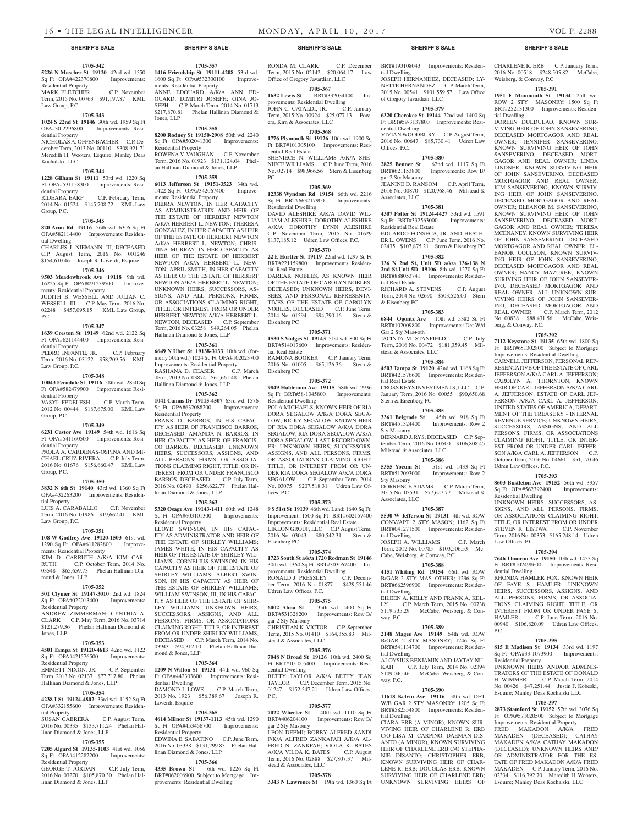### **1705-342**

**5226 N Mascher St 19120** 42nd wd. 1550 Sq Ft OPA#422370800 Improvements: Residential Property MARK FLETCHER C.P. November Term, 2015 No. 00763 \$91,197.87 KML

### Law Group, P.C. **1705-343**

**1024 S 22nd St 19146** 30th wd. 1959 Sq Ft Improvements: Residential Property NICHOLAS A. OFFENBACHER C.P. December Term, 2013 No. 00110 \$308,921.71 Meredith H. Wooters, Esquire; Manley Deas Kochalski, LLC

# **1705-344**

**1228 Gilham St 19111** 53rd wd. 1220 Sq Ft OPA#531158300 Improvements: Resi-

#### dential Property<br>RIDEARA EARP C.P. February Term, 2014 No. 01524 \$145,708.72 KML Law Group, P.C.

#### **1705-345**

**820 Avon Rd 19116** 56th wd. 6306 Sq Ft OPA#582114400 Improvements: Residential Dwelling

CHARLES J. NIEMANN, III, DECEASED C.P. August Term, 2016 No. 001246 \$154,610.46 Joseph R. Loverdi, Esquire

### **1705-346**

**9503 Meadowbrook Ave 19118** 9th wd. 16225 Sq Ft OPA#091239500 Improvements: Residential Property

JUDITH B. WESSELL AND JULIAN C. WESSELL, III C.P. May Term, 2016 No. 02248 \$457,095.15 KML Law Group, P.C.

#### **1705-347**

**1639 Creston St 19149** 62nd wd. 2122 Sq Ft OPA#621144400 Improvements: Residential Property

PEDRO INFANTE, JR. C.P. February Term, 2016 No. 03122 \$58,209.56 KML Law Group, P.C.

#### **1705-348**

**10043 Ferndale St 19116** 58th wd. 2850 Sq Ft OPA#582479900 Improvements: Residential Property VASYL FEDELESH C.P. March Term,

2012 No. 00444 \$187,675.00 KML Law Group, P.C.

#### **1705-349**

**6231 Castor Ave 19149** 54th wd. 1616 Sq Ft OPA#541160500 Improvements: Residential Property

PAOLA A. CARDENAS-OSPINA AND MI-CHAEL CRUZ-RIVERA C.P. July Term, 2016 No. 01676 \$156,660.47 KML Law Group, P.C.

### **1705-350**

**3832 N 6th St 19140** 43rd wd. 1360 Sq Ft OPA#432263200 Improvements: Residential Property

LUIS A. CARABALLO C.P. November Term, 2016 No. 01986 \$19,662.41 KML Law Group, P.C.

#### **1705-351**

**108 W Godfrey Ave 19120-1503** 61st wd. 1290 Sq Ft OPA#611282800 Improvements: Residential Property KIM D. CARRUTH A/K/A KIM CAR-RUTH C.P. October Term, 2014 No. 03548 \$65,659.73 Phelan Hallinan Diamond & Jones, LLP

#### **1705-352**

**501 Clymer St 19147-3010** 2nd wd. 1824<br>Sq Ft OPA#022013400 Improvements: Sq Ft OPA#022013400 Residential Property

ANDREW ZIMMERMAN; CYNTHIA A. CLARK C.P. May Term, 2016 No. 03714 \$121,279.36 Phelan Hallinan Diamond & Jones, LLP

#### **1705-353**

#### **4501 Tampa St 19120-4613** 42nd wd. 1122 Sq Ft OPA#421576500 Improvements: Residential Property

EMMETT NIXON, JR. C.P. September Term, 2013 No. 02137 \$77,717.80 Phelan Hallinan Diamond & Jones, LLP

# **1705-354**

**4238 I St 19124-4802** 33rd wd. 1152 Sq Ft OPA#332155600 Improvements: Residential Property

SUSAN CABRERA C.P. August Term, 2016 No. 00335 \$133,711.24 Phelan Hallinan Diamond & Jones, LLP

# **1705-355**

**7205 Algard St 19135-1103** 41st wd. 1056 Sq Ft OPA#412282200 Residential Property

GEORGE T. JORDAN C.P. July Term, 2016 No. 03270 \$105,870.30 Phelan Hallinan Diamond & Jones, LLP

**1416 Friendship St 19111-4208** 53rd wd. 1600 Sq Ft OPA#532300100 Improvements: Residential Property ANNE EDOUARD A/K/A ANN ED-OUARD; DIMITRI JOSEPH; GINA JO-SEPH C.P. March Term, 2014 No. 01713 \$217,870.81 Phelan Hallinan Diamond & Jones, LLP

**1705-357**

# **1705-358**

**8200 Rodney St 19150-2908** 50th wd. 2240 Sq Ft OPA#502041300 Residential Property ROWENA V. VAUGHAN C.P. November Term, 2016 No. 01923 \$131,124.04 Phelan Hallinan Diamond & Jones, LLP

#### **1705-359**

**6013 Jefferson St 19151-3523** 34th wd. 1422 Sq Ft OPA#342067400 Improvements: Residential Property

DEBRA NEWTON, IN HER CAPACITY AS ADMINISTRATRIX AND HEIR OF THE ESTATE OF HERBERT NEWTON A/K/A HERBERT L. NEWTON; THERESA GONZALEZ, IN HER CAPACITY AS HEIR OF THE ESTATE OF HERBERT NEWTON A/K/A HERBERT L. NEWTON; CHRIS-TINA MURRAY, IN HER CAPACITY AS HEIR OF THE ESTATE OF HERBERT NEWTON A/K/A HERBERT L. NEW-TON: APRIL SMITH, IN HER CAPACITY AS HEIR OF THE ESTATE OF HERBERT NEWTON A/K/A HERBERT L. NEWTON; UNKNOWN HEIRS, SUCCESSORS, AS-SIGNS, AND ALL PERSONS, FIRMS, OR ASSOCIATIONS CLAIMING RIGHT, TITLE, OR INTEREST FROM OR UNDER HERBERT NEWTON A/K/A HERBERT L. NEWTON, DECEASED C.P. September Term, 2016 No. 03258 \$49,264.05 Phelan Hallinan Diamond & Jones, LLP

#### **1705-361**

**6649 N Uber St 19138-3133** 10th wd. (formerly 50th wd.) 1024 Sq Ft OPA#102023700 Improvements: Residential Property<br>RASHANA D. CEASER C.P. March

RASHANA D. CEASER Term, 2013 No. 03874 \$61,661.48 Phelan Hallinan Diamond & Jones, LLP

#### **1705-362**

**1041 Camas Dr 19115-4507** 63rd wd. 1576 Sq Ft OPA#632088200 Improvements: Residential Property

FRANK D. BARROS, IN HIS CAPAC-ITY AS HEIR OF FRANCISCO BARROS, DECEASED; AMANDA N. BARROS, IN HER CAPACITY AS HEIR OF FRANCIS-CO BARROS, DECEASED; UNKNOWN HEIRS, SUCCESSORS, ASSIGNS, AND ALL PERSONS, FIRMS, OR ASSOCIA-TIONS CLAIMING RIGHT, TITLE, OR IN-TEREST FROM OR UNDER FRANCISCO BARROS, DECEASED C.P. July Term, 2016 No. 02490 \$256,622.77 Phelan Hallinan Diamond & Jones, LLP

#### **1705-363**

**5320 Osage Ave 19143-1411** 60th wd. 1248 Sq Ft OPA#603101300 Improvements: Residential Property

LLOYD SWINSON, IN HIS CAPAC-ITY AS ADMINISTRATOR AND HEIR OF THE ESTATE OF SHIRLEY WILLIAMS: JAMES WHITE, IN HIS CAPACITY AS HEIR OF THE ESTATE OF SHIRLEY WIL-LIAMS; CORNELIUS SWINSON, IN HIS CAPACITY AS HEIR OF THE ESTATE OF SHIRLEY WILLIAMS; ALBERT SWIN-SON, IN HIS CAPACITY AS HEIR OF THE ESTATE OF SHIRLEY WILLIAMS; WILLIAM SWINSON, III, IN HIS CAPAC-ITY AS HEIR OF THE ESTATE OF SHIR-LEY WILLIAMS; UNKNOWN HEIRS, SUCCESSORS, ASSIGNS, AND ALL PERSONS, FIRMS, OR ASSOCIATIONS CLAIMING RIGHT, TITLE, OR INTEREST FROM OR UNDER SHIRLEY WILLIAMS, DECEASED C.P. March Term, 2014 No. 03943 \$94,312.10 Phelan Hallinan Diamond & Jones, LLP

#### **1705-364**

**1209 N Wilton St 19131** 44th wd. 960 Sq Ft OPA#442303600 Improvements: Residential Dwelling DAMOND J. LOWE C.P. March Term, 2013 No. 1923 \$56,389.67 Joseph R. Loverdi, Esquire

# **1705-365**

**4614 Milnor St 19137-1113** 45th wd. 1290 Sq Ft OPA#453456700 Improvements: Residential Property EDWINA E. SABATINO C.P. June Term, 2016 No. 03338 \$131,299.83 Phelan Hallinan Diamond & Jones, LLP

### **1705-366**

4335 Brown St 6th wd. 1226 Sq Ft BRT#062006900 Subject to Mortgage Improvements: Residential Dwelling

RONDA M. CLARK C.P. December Term, 2015 No. 02142 \$20,064.17 Law Office of Gregory Javardian, LLC

# **1705-367**

**1632 Lewis St** BRT#332034100 Improvements: Residential Dwelling JOHN C. CATALDI, JR. C.P. January Term, 2015 No. 00924 \$25,077.13 Powers, Kirn & Associates, LLC

**1705-368**

**1776 Plymouth St 19126** 10th wd. 1900 Sq Ft BRT#101305100 Improvements: Residential Real Estate SHENIECE N. WILLIAMS A/K/A SHE-NIECE WILLIAMS C.P. June Term, 2016 No. 02714 \$98,966.56 Stern & Eisenberg

# **1705-369**

PC

**12338 Wyndom Rd 19154** 66th wd. 2216 Sq Ft BRT#663217900 Improvements: Residential Dwelling DAVID ALESHIRE A/K/A DAVID WIL-LIAM ALESHIRE; DOROTHY ALESHIRE

A/K/A DOROTHY LYNN ALESHIRE C.P. November Term, 2015 No. 01629 \$137,185.12 Udren Law Offices, P.C.

# **1705-370**

**22 E Hortter St 19119** 22nd wd. 1297 Sq Ft BRT#221159800 Improvements: Residential Real Estate DAREAK NOBLES, AS KNOWN HEIR OF THE ESTATE OF CAROLYN NOBLES, DECEASED; UNKNOWN HEIRS, DEVI-SEES, AND PERSONAL REPRESENTA-TIVES OF THE ESTATE OF CAROLYN NOBLES, DECEASED C.P. June Term, 2014 No. 01594 \$94,790.16 Stern & Eisenberg PC

#### **1705-371**

**1530 S Vodges St 19143** 51st wd. 800 Sq Ft BRT#514017600 Improvements: Residential Real Estate

RAMONA BOOKER C.P. January Term, 2016 No. 01005 \$65,126.36 Stern & Eisenberg PC

### **1705-372**

**9849 Haldeman Ave 19115** 58th wd. 2936 Sq Ft BRT#58-1345800 Improvements: Residential Dwelling

POLA MICHAELS, KNOWN HEIR OF RIA DORA SEGALOW A/K/A DORA SEGA-LOW; RICKY SEGALOW, KNOWN HEIR OF RIA DORA SEGALOW A/K/A DORA SEGALOW; RIA DORA SEGALOW A/K/A DORA SEGALOW, LAST RECORD OWN-ER; UNKNOWN HEIRS, SUCCESSORS, ASSIGNS, AND ALL PERSONS, FIRMS, OR ASSOCIATIONS CLAIMING RIGHT, TITLE, OR INTEREST FROM OR UN-DER RIA DORA SEGALOW A/K/A DORA SEGALOW C.P. September Term, 2014 No. 03075 \$207,518.31 Udren Law Offices, P.C.

#### **1705-373**

**9 S 51st St 19139** 46th wd. Land: 1640 Sq Ft; Improvement: 1500 Sq Ft BRT#602157400 Improvements: Residential Real Estate LIKLON GROUP, LLC C.P. August Term, 2016 No. 03043 \$80,542.31 Stern & Eisenberg PC

#### **1705-374**

**1723 South St a/k/a 1720 Rodman St 19146**  30th wd. 1360 Sq Ft BRT#303067400 Improvements: Residential Dwelling<br>RONALD J. PRESSLEY C.P. Decem-RONALD J. PRESSLEY ber Term, 2016 No. 01877 \$429,551.46

# Udren Law Offices, P.C.

**1705-375 6002 Alma St** 35th wd. 1400 Sq Ft BRT#531328200 Improvements: Row B/ gar 2 Sty Masonry

CHRISTIAN K. VICTOR C.P. September Term, 2015 No. 01410 \$164,355.83 Milstead & Associates, LLC

# **1705-376**

**7048 N Broad St 19126** 10th wd. 2400 Sq Ft BRT#101005400 Improvements: Residential Dwelling BETTY TAYLOR A/K/A BETTY JEAN TAYLOR C.P. December Term, 2015 No. 01247 \$152,547.21 Udren Law Offices, P.C.

# **1705-377**

**7022 Wheeler St** 40th wd. 1110 Sq Ft BRT#406204100 Improvements: Row B/ gar 2 Sty Masonry

LEON DEEMI; BOBBY ALFRED SANDI F/K/A ALFRED ZANKAPAH A/K/A AL-FRED N. ZANKPAH; VIOLA K. BATES A/K/A VILOA K. BATES C.P. August Term, 2016 No. 02888 \$27,807.37 Milstead & Associates, LLC

**1705-378 3343 N Lawrence St** 19th wd. 1360 Sq Ft

#### **SHERIFF'S SALE SHERIFF'S SALE SHERIFF'S SALE SHERIFF'S SALE SHERIFF'S SALE**

BRT#193108043 Improvements: Residential Dwelling JOSEPH HERNANDEZ, DECEASED; LY-NETTE HERNANDEZ C.P. March Term, 2015 No. 00541 \$101,559.57 Law Office of Gregory Javardian, LLC

CHARLENE R. ERB C.P. January Term, 2016 No. 00518 \$248,505.82 McCabe,

**1705-391 1951 E Monmouth St 19134** 25th wd. ROW 2 STY MASONRY; 1500 Sq Ft BRT#252131300 Improvements: Residen-

DOREEN DULDULAO, KNOWN SUR-VIVING HEIR OF JOHN SANSEVERINO, DECEASED MORTGAGOR AND REAL OWNER; JENNIFER SANSEVERINO, KNOWN SURVIVING HEIR OF JOHN SANSEVERINO, DECEASED MORT-GAGOR AND REAL OWNER; LINDA LINDNER, KNOWN SURVIVING HEIR OF JOHN SANSEVERINO, DECEASED MORTGAGOR AND REAL OWNER; KIM SANSEVERINO, KNOWN SURVIV-ING HEIR OF JOHN SANSEVERINO, DECEASED MORTGAGOR AND REAL OWNER; ELEANOR M. SANSEVERINO, KNOWN SURVIVING HEIR OF JOHN SANSEVERINO, DECEASED MORT-GAGOR AND REAL OWNER; TERESA MCENANEY, KNOWN SURVIVING HEIR OF JOHN SANSEVERINO, DECEASED MORTGAGOR AND REAL OWNER; EL-EANOR COULSON, KNOWN SURVIV-ING HEIR OF JOHN SANSEVERINO, DECEASED MORTGAGOR AND REAL OWNER; NANCY MAZUREK, KNOWN SURIVING HEIR OF JOHN SANSEVER-INO, DECEASED MORTGAGOR AND REAL OWNER; ALL UNKNOWN SUR-VIVING HEIRS OF JOHN SANSEVER-INO, DECEASED MORTGAGOR AND REAL OWNER C.P. March Term, 2012 No. 00838 \$88,431.56 McCabe, Weis-

Weisberg, & Conway, P.C.

tial Dwelling

berg, & Conway, P.C.

Udren Law Offices, P.C.

Residential Dwelling

Law Offices, P.C.

dential Dwelling

Residential Property

P.C.

**1705-393 8603 Bustleton Ave 19152** 56th wd. 3957 Sq Ft OPA#562392400 Improvements:

UNKNOWN HEIRS, SUCCESSORS, AS-SIGNS, AND ALL PERSONS, FIRMS, OR ASSOCIATIONS CLAIMING RIGHT, TITLE, OR INTEREST FROM OR UNDER STEVEN R. LISTWA C.P. November Term, 2016 No. 00353 \$165,248.14 Udren

**1705-394 7646 Thouron Ave 19150** 10th wd. 1453 Sq Ft BRT#102498600 Improvements: Resi-

RHONDA HAMLER FOX, KNOWN HEIR OF FAYE S. HAMLER; UNKNOWN HEIRS, SUCCESSORS, ASSIGNS, AND ALL PERSONS, FIRMS, OR ASSOCIA-TIONS CLAIMING RIGHT, TITLE, OR INTEREST FROM OR UNDER FAYE S. HAMLER C.P. June Term, 2016 No. 00940 \$106,820.09 Udren Law Offices,

**1705-395 815 E Madison St 19134** 33rd wd. 1197 Sq Ft OPA#33-1073900 Improvements:

UNKNOWN HEIRS AND/OR ADMINIS-TRATORS OF THE ESTATE OF DONALD H. WIMMER C.P. March Term, 2014 No. 00426 \$47,251.44 Justin F. Kobeski Esquire; Manley Deas Kochalski LLC **1705-397 2873 Stamford St 19152** 57th wd. 3076 Sq Ft OPA#571020500 Subject to Mortgage Improvements: Residential Property FRED MAKADON A/K/A FRED MAKADEN (DECEASED); CATHAY MAKADEN A/K/A CATHAY MAKADON (DECEASED); UNKNOWN HEIRS AND/ OR ADMINISTRATOR FOR THE ES-TATE OF FRED MAKADON A/K/A FRED MAKADEN C.P. January Term, 2016 No. 02334 \$116,792.70 Meredith H. Wooters, Esquire; Manley Deas Kochalski, LLC

**1705-392 7112 Keystone St 19135** 65th wd. 1800 Sq Ft BRT#651302800 Subject to Mortgage Improvements: Residential Dwelling CARNELL JEFFERSON, PERSONAL REP-RESENTATIVE OF THE ESTATE OF CARL JEFFERSON A/K/A CARL A. JEFFERSON; CAROLYN A. THORNTON, KNOWN HEIR OF CARL JEFFERSON A/K/A CARL A. JEFFERSON; ESTATE OF CARL JEF-FERSON A/K/A CARL A. JEFFERSON; UNITED STATES OF AMERICA, DEPART-MENT OF THE TREASURY - INTERNAL REVENUE SERVICE; UNKNOWN HEIRS, SUCCESSORS, ASSIGNS, AND ALL PERSONS, FIRMS, OR ASSOCIATIONS CLAIMING RIGHT, TITLE, OR INTER-EST FROM OR UNDER CARL JEFFER-SON A/K/A CARL A. JEFFERSON C.P. October Term, 2016 No. 04661 \$51,170.46

#### **1705-379**

**6320 Cherokee St 19144** 22nd wd. 1400 Sq Ft BRT#59-3137800 Improvements: Residential Dwelling

VIVIAN WOODBURY C.P. August Term, 2016 No. 00647 \$85,730.41 Udren Law Offices, P.C.

# **1705-380**

Associates, LLC

tial Real Estate

& Eisenberg PC

Gar 2 Sty Mas+oth

tial Real Estate

Sty Masonry

Sty Masonry

Associates, LLC

tial Dwelling

tial Dwelling

way, P.C.

tial Dwelling

way, P.C.

tial Dwelling

stead & Associates, LLC

Stern & Eisenberg PC

Milstead & Associates, LLC

Residential Real Estate

**2825 Benner St** 62nd wd. 1117 Sq Ft BRT#621153800 Improvements: Row B/ gar 2 Sty Masonry JEANINE D. RANSOM C.P. April Term, 2016 No. 00870 \$120,968.46 Milstead &

**1705-381 4307 Potter St 19124-4427** 33rd wd. 1591 Sq Ft BRT#332563000 Improvements:

EDUARDO FONSECA, JR. AND HEATH-ER L. OWENS C.P. June Term, 2016 No. 02435 \$107,875.21 Stern & Eisenberg PC **1705-382 136 N 2nd St, Unit 5D a/k/a 136-138 N 2nd St,Unit 5D 19106** 8th wd. 1270 Sq Ft BRT#888053741 Improvements: Residen-

RICHARD A. STEVENS C.P. August Term, 2014 No. 02690 \$503,526.00 Stern

**1705-383 6844 Ogontz Ave** 10th wd. 5382 Sq Ft BRT#102009800 Improvements: Det W/d

JACINTA M. STANFIELD C.P. July Term, 2016 No. 00472 \$181,359.45 Mil-

**1705-384 4503 Tampa St 19120** 42nd wd. 1168 Sq Ft BRT#421576600 Improvements: Residen-

CROSS KEYS INVESTMENTS, LLC C.P. January Term, 2016 No. 00055 \$90,650.68

**1705-385 3361 Belgrade St** 45th wd. 918 Sq Ft BRT#451324400 Improvements: Row 2

BERNARD I. RYS, DECEASED C.P. September Term, 2016 No. 00500 \$106,808.45

**1705-386 5355 Yocum St** 51st wd. 1433 Sq Ft BRT#512093000 Improvements: Row 2

DORRENCE ADAMS C.P. March Term, 2015 No. 03531 \$77,627.77 Milstead &

**1705-387 5530 W Jefferson St 19131** 4th wd. ROW CONV/APT 2 STY MASON; 1162 Sq Ft BRT#041271500 Improvements: Residen-

JOSEPH A. WILLIAMS C.P. March Term, 2012 No. 00785 \$103,506.53 Mc-

**1705-388 4151 Whiting Rd 19154** 66th wd. ROW B/GAR 2 STY MAS+OTHER; 1296 Sq Ft BRT#662596900 Improvements: Residen-

EILEEN A. KELLY AND FRANK A. KEL-LY C.P. March Term, 2015 No. 00738 \$119,735.29 McCabe, Weisberg, & Con-

**1705-389 2148 Magee Ave 19149** 54th wd. ROW B/GAR 2 STY MASONRY; 1246 Sq Ft BRT#541134700 Improvements: Residen-

ALOYSIUS BENJAMIN AND JAYTAY NU-<br>KAH C.P. July Term, 2014 No. 02394 C.P. July Term, 2014 No. 02394 \$109,040.46 McCabe, Weisberg, & Con-

**1705-390 11618 Kelvin Ave 19116** 58th wd. DET W/B GAR 2 STY MASONRY; 1205 Sq Ft BRT#582554800 Improvements: Residen-

CIARA ERB (A MINOR), KNOWN SUR-VIVING HEIR OF CHARLENE R. ERB C/O LISA M. CARPINO; DAEMAN DIS-ANTO (A MINOR), KNOWN SURVIVING HEIR OF CHARLENE ERB C/O STEPHA-NIE DISANTO; CHRISTOPHER ERB, KNOWN SURVIVING HEIR OF CHAR-LENE R. ERB; DOUGLAS ERB, KNOWN SURVIVING HEIR OF CHARLENE ERB; UNKNOWN SURVIVING HEIRS OF

Cabe, Weisberg, & Conway, P.C.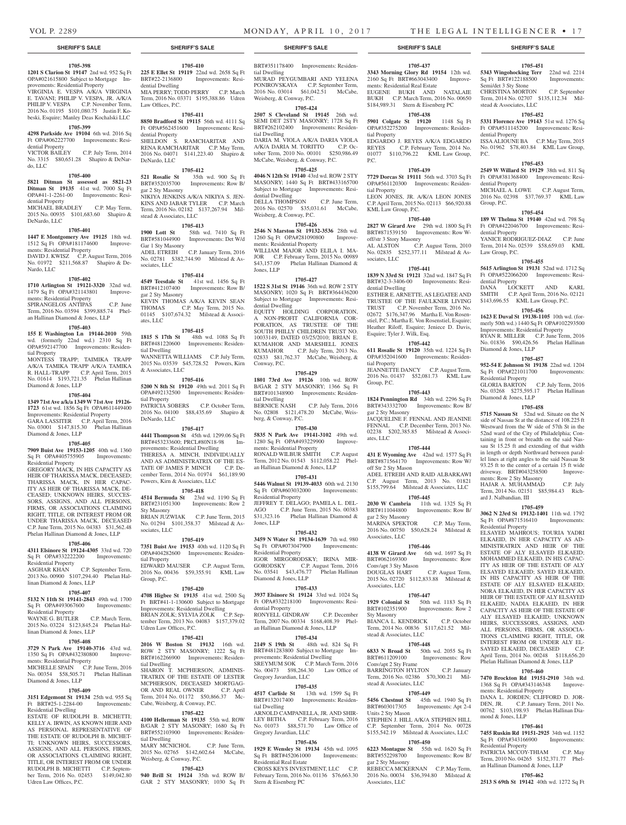Semi/det 3 Sty Stone

dential Property

dential Property

dential Property

Law Group, P.C.

dential Property

Diamond & Jones, LLP

Residential Property

Diamond & Jones, LLP

ments: Row 2 Sty Masonry

ard J. Nalbandian, III

Residential Property

ments: Residential Property

mond & Jones, LLP

Residential Property

DANA L. JORDEN; CLIFFORD D. JOR-<br>DEN, JR. C.P. January Term, 2011 No.

00762 \$103,198.93 Phelan Hallinan Dia-

**1705-461 7455 Ruskin Rd 19151-2925** 34th wd. 1152 Sq Ft OPA#343166900 Improvements:

PATRICIA MCCOY-THIAM C.P. May Term, 2010 No. 04265 \$152,371.77 Phelan Hallinan Diamond & Jones, LLP **1705-462 2513 S 69th St 19142** 40th wd. 1272 Sq Ft

C.P. January Term, 2011 No.

Group, P.C.

P.C.

stead & Associates, LLC

**1705-451 5343 Wingohocking Terr** 22nd wd. 2214 Sq Ft BRT#122188500 Improvements:

CHRISTINA MORTON C.P. September Term, 2014 No. 02707 \$135,112.34 Mil-

**1705-452 5331 Florence Ave 19143** 51st wd. 1276 Sq Ft OPA#511145200 Improvements: Resi-

ISSA ALIOUNE BA C.P. May Term, 2015 No. 01962 \$78,403.84 KML Law Group,

**1705-453 2549 W Willard St 19129** 38th wd. 811 Sq Ft OPA#381368400 Improvements: Resi-

MICHAEL A. LOWE C.P. August Term, 2016 No. 02398 \$37,769.37 KML Law

**1705-454 189 W Thelma St 19140** 42nd wd. 798 Sq Ft OPA#422046700 Improvements: Resi-

YANICE RODRIGUEZ-DIAZ C.P. June Term, 2014 No. 02539 \$58,659.03 KML

**1705-455 5615 Arlington St 19131** 52nd wd. 1712 Sq Ft OPA#522066200 Improvements: Resi-

DANA LOCKETT AND KARL SMITH C.P. April Term, 2016 No. 02121 \$143,696.55 KML Law Group, P.C. **1705-456 1623 E Duval St 19138-1105** 10th wd. (formerly 50th wd.) 1440 Sq Ft OPA#102293500 Improvements: Residential Property RYAN R. MILLER C.P. June Term, 2016 No. 01836 \$90,426.56 Phelan Hallinan

**1705-457 952-54 E Johnson St 19138** 22nd wd. 1204  $\frac{1}{\sqrt{2}}$  Sq Ft OPA#221011700 Improvements:

GLORIA BARTON C.P. July Term, 2016 No. 03268 \$275,595.17 Phelan Hallinan

**1705-458 5715 Nassau St** 52nd wd. Situate on the N side of Nassau St at the distance of 108.225 ft Westward from the W side of 57th St in the 52nd ward of the City of Philadelphia; Containing in front or breadth on the said Nassau St 15.25 ft and extending of that width in length or depth Northward between parallel lines at right angles to the said Nassau St 93.25 ft to the center of a certain 15 ft wide driveway. BRT#043258500 Improve-

HAJAR A. MUHAMMAD C.P. July Term, 2014 No. 02151 \$85,984.43 Rich-

**1705-459 3062 N 23rd St 19132-1401** 11th wd. 1792 Sq Ft OPA#871516410 Improvements:

ELSAYED MAHROUS; TOURIA YADRI ELKAEID, IN HER CAPACITY AS AD-MINISTRATRIX AND HEIR OF THE ESTATE OF ALY ELSAYED ELKAEID; MOHAMMED ELKAEID, IN HIS CAPAC-ITY AS HEIR OF THE ESTATE OF ALY ELSAYED ELKAEID; SAYED ELKAEID, IN HIS CAPACITY AS HEIR OF THE ESTATE OF ALY ELSAYED ELKAEID; NORA ELKAEID, IN HER CAPACITY AS HEIR OF THE ESTATE OF ALY ELSAYED ELKAEID; NADIA ELKAEID, IN HER CAPACITY AS HEIR OF THE ESTATE OF ALY ELSAYED ELKAEID; UNKNOWN HEIRS, SUCCESSORS, ASSIGNS, AND ALL PERSONS, FIRMS, OR ASSOCIA-TIONS CLAIMING RIGHT, TITLE, OR INTEREST FROM OR UNDER ALY EL-<br>SAYED ELKAEID. DECEASED C.P. SAYED ELKAEID, DECEASED April Term, 2014 No. 00248 \$118,656.20 Phelan Hallinan Diamond & Jones, LLP **1705-460 7470 Brockton Rd 19151-2910** 34th wd. 1368 Sq Ft OPA#343146348 Improve-

# **SHERIFF'S SALE SHERIFF'S SALE SHERIFF'S SALE SHERIFF'S SALE SHERIFF'S SALE**

# **1705-398**

OPA#021615800 Subject to Mortgage Improvements: Residential Property

VIRGINIA E. VESPA A/K/A VIRGINIA E. TAVANI; PHILIP V. VESPA, JR. A/K/A PHILIP V. VESPA C.P. November Term 2016 No. 01195 \$101,080.75 Justin F. Kobeski, Esquire; Manley Deas Kochalski LLC

# **1705-399**

**4298 Parkside Ave 19104** 6th wd. 2016 Sq Ft OPA#062227700 Improvements: Residential Property<br>VICTOR BAILEY

C.P. July Term, 2014 No. 3315 \$80,651.28 Shapiro & DeNardo, LLC

#### **1705-400**

**5821 Ditman St assessed as 5821-23 Ditman St 19135** 41st wd. 7000 Sq Ft OPA#41-1-2261-00 Improvements: Residential Property MICHAEL BRADLEY C.P. May Term,

2015 No. 00935 \$101,683.60 Shapiro & DeNardo, LLC

#### **1705-401**

**1447 E Montgomery Ave 19125** 18th wd. 1512 Sq Ft OPA#181174600 Improvements: Residential Property

DAVID J. KWISZ C.P. August Term, 2016 No. 01972 \$211,568.87 Shapiro & De-Nardo, LLC

#### **1705-402**

**1710 Arlington St 19121-3320** 32nd wd. 1479 Sq Ft OPA#321143801 Improvements: Residential Property SPIRANGELOS ANTIPAS C.P. June Term, 2016 No. 03594 \$399,885.74 Phel-

an Hallinan Diamond & Jones, LLP **1705-403**

**155 E Washington Ln 19144-2010** 59th wd. (formerly 22nd wd.) 2310 Sq Ft OPA#592147700 Improvements: Residential Property MONTESS TRAPP; TAIMIKA TRAPP A/K/A TAMIKA TRAPP A/K/A TAMIKA R. HALL-TRAPP C.P. April Term, 2015 No. 01614 \$193,721.35 Phelan Hallinan Diamond & Jones, LLP

#### **1705-404**

**1349 71st Ave a/k/a 1349 W 71st Ave 19126- 1723** 61st wd. 1856 Sq Ft OPA#611449400 Improvements: Residential Property GARA LASSITER C.P. April Term, 2016 No. 03001 \$147,815.30 Phelan Hallinan

# Diamond & Jones, LLP

**1705-405 7909 Buist Ave 19153-1205** 40th wd. 1360 Sq Ft OPA#405755905 Improvements:

Residential Property GREGORY MACK, IN HIS CAPACITY AS HEIR OF THARISSA MACK, DECEASED; THARISSA MACK, IN HER CAPAC-ITY AS HEIR OF THARISSA MACK, DE-CEASED; UNKNOWN HEIRS, SUCCES-SORS, ASSIGNS, AND ALL PERSONS, FIRMS, OR ASSOCIATIONS CLAIMING RIGHT, TITLE, OR INTEREST FROM OR UNDER THARISSA MACK, DECEASED C.P. June Term, 2015 No. 04383 \$31,562.48 Phelan Hallinan Diamond & Jones, LLP

#### **1705-406**

#### **4311 Elsinore St 19124-4305** 33rd wd. 720 Sq Ft OPA#332222200 Improvements: Residential Property

ASGHAR KHAN C.P. September Term, 2013 No. 00900 \$107,294.40 Phelan Hallinan Diamond & Jones, LLP

#### **1705-407**

**5132 N 11th St 19141-2843** 49th wd. 1700 Sq Ft OPA#493067600 Improvements: Residential Property

WAYNE G. BUTLER C.P. March Term, 2015 No. 03224 \$123,845.24 Phelan Hallinan Diamond & Jones, LLP

#### **1705-408**

**3729 N Park Ave 19140-3716** 43rd wd. 1350 Sq Ft OPA#432380800 Improvements: Residential Property MICHELLE SPAIN C.P. June Term, 2016 No. 00354 \$58,505.71 Phelan Hallinan Diamond & Jones, LLP

#### **1705-409**

**3151 Edgemont St 19134** 25th wd. 955 Sq Ft BRT#25-1-2284-00 Residential Dwelling

ESTATE OF RUDOLPH B. MICHETTI; KELLY A. IRWIN, AS KNOWN HEIR AND AS PERSONAL REPRESENTATIVE OF THE ESTATE OF RUDOLPH B. MICHET-TI; UNKNOWN HEIRS, SUCCESSORS, ASSIGNS, AND ALL PERSONS, FIRMS, OR ASSOCIATIONS CLAIMING RIGHT, TITLE, OR INTEREST FROM OR UNDER RUDOLPH B. MICHETTI C.P. September Term, 2016 No. 02453 \$149,042.80 Udren Law Offices, P.C.

**1201 S Clarion St 19147** 2nd wd. 952 Sq Ft **225 E Ellet St 19119** 22nd wd. 2658 Sq Ft **1705-410** BRT#22-2136800 Improvements: Residential Dwelling MIA PERRY; TODD PERRY C.P. March Term, 2016 No. 03371 \$195,388.86 Udren Law Offices, P.C.

### **1705-411**

**8850 Bradford St 19115** 56th wd. 4111 Sq Ft OPA#562451600 Improvements: Residential Property SHELDON S. RAMCHARITAR AND RENA RAMCHARITAR C.P. May Term, 2016 No. 04071 \$141,223.40 Shapiro &

#### **1705-412**

DeNardo, LLC

**521 Rosalie St** 35th wd. 900 Sq Ft BRT#352035700 Improvements: Row B/ gar 2 Sty Masonry NIKIYA JENKINS A/K/A NIKIYA S. JEN-KINS AND JABAR TYLER C.P. March Term, 2016 No. 02182 \$137,267.94 Milstead & Associates, LLC

# **1705-413**

**1900 Lott St** 58th wd. 7410 Sq Ft BRT#581044900 Improvements: Det W/d Gar 1 Sty Masonry<br>ADEL ETREIH  $C.P.$  January Term, 2016 No. 02781 \$382,744.90 Milstead & Associates, LLC

#### **1705-414**

**4549 Teesdale St** 41st wd. 1456 Sq Ft BRT#412107400 Improvements: Row B/ gar 2 Sty Masonry KEVIN THOMAS A/K/A KEVIN SEAN THOMAS C.P. May Term, 2015 No. 01145 \$107,674.32 Milstead & Associates, LLC

#### **1705-415**

**1815 S 17th St** 48th wd. 1088 Sq Ft BRT#481220600 Improvements: Residential Dwelling WANNETTA WILLIAMS C.P. July Term, 2015 No. 03539 \$45,728.52 Powers, Kirn & Associates, LLC

#### **1705-416**

**5200 N 8th St 19120** 49th wd. 2011 Sq Ft OPA#492132500 Improvements: Residential Property PATRICIA SOBERS C.P. October Term, 2016 No. 04100 \$88,435.69 Shapiro &

DeNardo, LLC

**1705-417 4441 Thompson St** 45th wd. 1299.06 Sq Ft BRT#453233600; PRCL#80N18-98 Improvements: Residential Dwelling THERESA A. MINCH, INDIVIDUALLY AND AS ADMINISTRATRIX OF THE ES-

TATE OF JAMES P. MINCH C.P. December Term, 2014 No. 01974 \$61,189.90 Powers, Kirn & Associates, LLC **1705-418**

**4514 Bermuda St** 23rd wd. 1190 Sq Ft BRT#231051300 Improvements: Row 2 Sty Masonry BRIAN JUZWIAK C.P. June Term, 2015 No. 01294 \$101,358.37 Milstead & Associates, LLC

#### **1705-419**

**7351 Buist Ave 19153** 40th wd. 1120 Sq Ft OPA#404282600 Improvements: Residential Property EDWARD MAUSER C.P. August Term,

2016 No. 00436 \$59,355.91 KML Law Group, P.C.

# **1705-420**

**4708 Higbee St 19135** 41st wd. 2500 Sq Ft BRT#41-1-130600 Subject to Mortgage Improvements: Residential Dwelling BRIAN ZOLK; SYLVIA ZOLK C.P. September Term, 2013 No. 04083 \$157,379.02 Udren Law Offices, P.C.

#### **1705-421**

**2016 W Boston St 19132** 16th wd. ROW 2 STY MASONRY; 1222 Sq Ft BRT#162266900 Improvements: Residential Dwelling SHARON T. MCPHERSON, ADMINIS-TRATRIX OF THE ESTATE OF LESTER MCPHERSON, DECEASED MORTGAG-<br>OR AND REAL OWNER C.P. April OR AND REAL OWNER Term, 2014 No. 01172 \$50,866.37 Mc-Cabe, Weisberg, & Conway, P.C.

#### **1705-422**

**4100 Hellerman St 19135** 55th wd. ROW B/GAR 2 STY MASONRY; 1680 Sq Ft BRT#552103900 Improvements: Residential Dwelling MARY MCNICHOL C.P. June Term,

2015 No. 02765 \$142,602.64 McCabe, Weisberg, & Conway, P.C.

#### **1705-423**

**940 Brill St 19124** 35th wd. ROW B/ GAR 2 STY MASONRY; 1030 Sq Ft

# BRT#351178400 Improvements: Residential Dwelling

MURAD PEYGUMBARI AND YELENA PONIROVSKAYA C.P. September Term, 2016 No. 03014 \$61,042.51 McCabe, Weisberg, & Conway, P.C.

# **1705-424**

**2507 S Cleveland St 19145** 26th wd. SEMI DET 2STY MASONRY; 1728 Sq Ft BRT#262102400 Improvements: Residential Dwelling DARIA M. VIOLA A/K/A DARIA VIOLA A/K/A DARIA M. TORITTO C.P. Oc-

tober Term, 2010 No. 00101 \$250,986.49 McCabe, Weisberg, & Conway, P.C. **1705-425**

**4046 N 12th St 19140** 43rd wd. ROW 2 STY MASONRY; 1440 Sq Ft BRT#433165700 Subject to Mortgage Improvements: Residential Dwelling DELLA THOMPSON C.P. June Term, 2016 No. 02570 \$35,031.61 McCabe,

Weisberg, & Conway, P.C.

#### **1705-426 2546 N Marston St 19132-3536** 28th wd. 1260 Sq Ft OPA#281090800 Improvements: Residential Property WILLIAM MAJOR AND ELILA I. MA-JOR C.P. February Term, 2015 No. 00989

\$43,157.09 Phelan Hallinan Diamond & Jones, LLP **1705-427**

**1522 S 31st St 19146** 36th wd. ROW 2 STY MASONRY; 1020 Sq Ft BRT#364436200 Subject to Mortgage Improvements: Residential Dwelling EQUITY HOLDING CORPORATION, A NON-PROFIT CALIFORNIA COR-PORATION, AS TRUSTEE OF THE SOUTH PHILLY CHILDREN TRUST NO. 10033149, DATED 03/25/2010; BRIAN E.

KUMAHOR AND MARSHELL JONES KUMAHOR C.P. July Term, 2013 No. 02833 \$81,762.37 McCabe, Weisberg, & Conway, P.C.

#### **1705-429**

**1801 73rd Ave 19126** 10th wd. ROW B/GAR 2 STY MASONRY; 1366 Sq Ft BRT#101348900 Improvements: Residential Dwelling BERNICE NASH C.P. July Term, 2016 No. 02808 \$121,478.20 McCabe, Weisberg, & Conway, P.C.

### **1705-430**

**5835 N Park Ave 19141-3102** 49th wd. 1280 Sq Ft OPA#493229900 Improvements: Residential Property RONALD WILBUR SMITH C.P. August Term, 2012 No. 01543 \$112,058.22 Phelan Hallinan Diamond & Jones, LLP

### **1705-431**

**5446 Walnut St 19139-4033** 60th wd. 2130 Sq Ft OPA#603032000 Residential Property

JEFFREY T. DELAGO; PAMELA L. DEL-AGO C.P. June Term, 2015 No. 00383 \$31,323.16 Phelan Hallinan Diamond & Jones, LLP

#### **1705-432**

**3459 N Water St 19134-1639** 7th wd. 980 Sq Ft OPA#073047900 Residential Property IGOR MIRGORODSKY; IRINA MIR-GORODSKY C.P. August Term, 2016

No. 03541 \$43,476.77 Phelan Hallinan Diamond & Jones, LLP **1705-433**

**3937 Elsinore St 19124** 33rd wd. 1024 Sq Ft OPA#332218100 Improvements: Residential Property RONYELL GINDRAW C.P. December Term, 2007 No. 00334 \$168,408.39 Phel-

# an Hallinan Diamond & Jones, LLP **1705-434**

**2149 S 19th St** 48th wd. 824 Sq Ft BRT#481283800 Subject to Mortgage Improvements: Residential Dwelling SREYMUM SOK C.P. March Term, 2016 No. 00473 \$98,264.30 Law Office of

# Gregory Javardian, LLC

**1705-435 4517 Carlisle St** 13th wd. 1599 Sq Ft BRT#132017400 Improvements: Residential Dwelling ARNOLD CAMPANELLA, JR. AND SHIR-LEY BETHA C.P. February Term, 2016 No. 01073 \$88,571.70 Law Office of

# **1705-436**

Gregory Javardian, LLC

**1929 E Wensley St 19134** 45th wd. 1095 Sq Ft BRT#452061000 Improvements: Residential Real Estate CROSS KEYS INVESTMENT, LLC C.P. February Term, 2016 No. 01136 \$76,663.30 Stern & Eisenberg PC

### **1705-437**

**3343 Morning Glory Rd 19154** 12th wd. 2160 Sq Ft BRT#663043400 Improvements: Residential Real Estate EUGENE BUKH AND NATALAIE BUKH C.P. March Term, 2016 No. 00650 \$184,989.31 Stern & Eisenberg PC

# **1705-438**

**5901 Colgate St 19120** 1148 Sq Ft OPA#352275200 Improvements: Residential Property EDGARDO J. REYES A/K/A EDGARDO REYES C.P. February Term, 2014 No. 01077 \$110,796.22 KML Law Group, P.C.

**1705-439 7729 Dorcas St 19111** 56th wd. 3703 Sq Ft OPA#561120300 Improvements: Residen-

LEON JONES, JR. A/K/A LEON JONES C.P. April Term, 2015 No. 02113 \$66,920.88

**1705-440 2827 W Girard Ave** 29th wd. 1800 Sq Ft BRT#871539150 Improvements: Row W-

AL ALSTON C.P. August Term, 2010 No. 02835 \$252,377.11 Milstead & As-

**1705-441 1839 N 33rd St 19121** 32nd wd. 1847 Sq Ft BRT#32-3-3406-00 Improvements: Resi-

ESTHER E. ARNETTE, AS LEGATEE AND TRUSTEE OF THE FAULKNER LIVING TRUST C.P. November Term, 2016 No. 02672 \$176,347.96 Martha E. Von Rosenstiel, P.C.; Martha E. Von Rosenstiel, Esquire; Heather Riloff, Esquire; Jeniece D. Davis,

**1705-442 611 Rosalie St 19120** 35th wd. 1224 Sq Ft OPA#352041600 Improvements: Residen-

JEANNETTE DANCY C.P. August Term, 2016 No. 01437 \$52,081.73 KML Law

**1705-443 1824 Pennington Rd** 34th wd. 2296 Sq Ft BRT#343332700 Improvements: Row B/

JACQUELINE F. FENNAL AND JEANINE FENNAL C.P. December Term, 2013 No. 02238 \$202,385.85 Milstead & Associ-

**1705-444 431 E Wyoming Ave** 42nd wd. 1577 Sq Ft BRT#871564170 Improvements: Row W/

ADEL ETREIH AND RAID ALBARKAWI C.P. August Term, 2013 No. 01821 \$155,799.64 Milstead & Associates, LLC **1705-445 2030 W Cambria** 11th wd. 1325 Sq Ft BRT#111044800 Improvements: Row B/

MARINA SPEKTOR C.P. May Term, 2016 No. 00750 \$50,628.24 Milstead &

**1705-446 4138 W Girard Ave** 6th wd. 1697 Sq Ft BRT#062169300 Improvements: Row

DOUGLAS HART C.P. August Term, 2015 No. 02720 \$112,833.88 Milstead &

**1705-447 1929 Colonial St** 50th wd. 1183 Sq Ft BRT#102351900 Improvements: Row 2

BIANCA L. KENDRICK C.P. October Term, 2014 No. 00836 \$117,621.52 Mil-

**1705-448 6833 N Broad St** 50th wd. 2055 Sq Ft BRT#611209100 Improvements: Row

BARRINGTON HYLTON C.P. January Term, 2016 No. 02386 \$70,300.21 Mil-

**1705-449 5456 Chestnut St** 45th wd. 1940 Sq Ft BRT#603017305 Improvements: Apt 2-4

STEPHEN J. HILL A/K/A STEPHEN HILL C.P. September Term, 2014 No. 00728 \$155,542.19 Milstead & Associates, LLC **1705-450 6223 Montague St** 55th wd. 1620 Sq Ft BRT#552298700 Improvements: Row B/

REBECCA MCKERNAN C.P. May Term, 2016 No. 00034 \$36,394.80 Milstead &

Improvements: Row

tial Property

KML Law Group, P.C.

off/str 3 Story Masonry

sociates, LLC

dential Dwelling

tial Property

Group, P.C.

ates, LLC

gar 2 Sty Masonry

off Str 2 Sty Mason

gar 2 Sty Masonry

Associates, LLC

Conv/apt 3 Sty Mason

stead & Associates, LLC

Conv/apt 2 Sty Frame

Units 2 Sty Mason

gar 2 Sty Masonry

Associates, LLC

stead & Associates, LLC

Associates, LLC

Sty Masonry

Esquire; Tyler J. Wilk, Esq.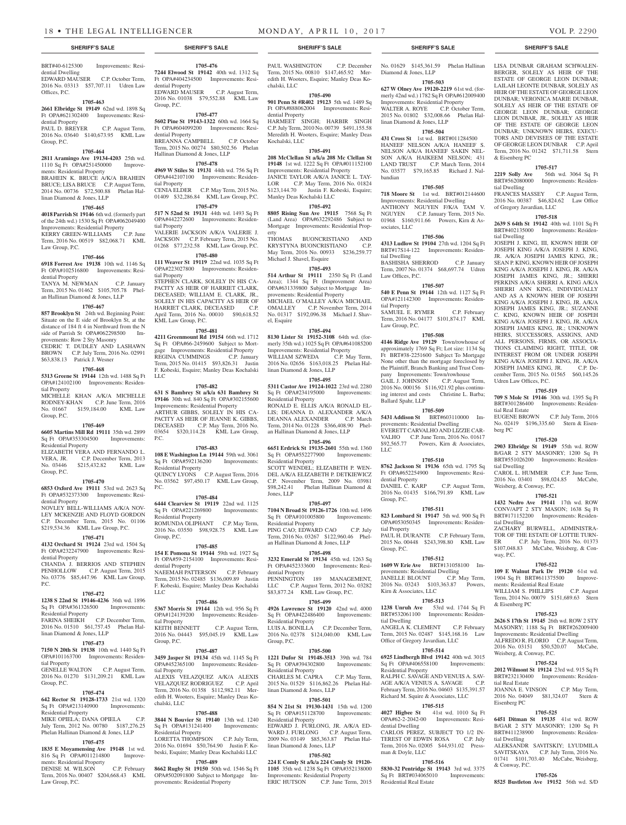BRT#40-6125300 Improvements: Resi-

EDWARD MAUSER C.P. October Term, 2016 No. 03313 \$57,707.11 Udren Law

**1705-463 2661 Elbridge St 19149** 62nd wd. 1898 Sq Ft OPA#621302400 Improvements: Resi-

PAUL D. BREYER C.P. August Term, 2016 No. 03640 \$140,673.95 KML Law

**1705-464 2811 Aramingo Ave 19134-4203** 25th wd. 1110 Sq Ft OPA#251450000 Improve-

BRAHEIN K. BRUCE A/K/A BRAHEIN BRUCE; LISA BRUCE C.P. August Term, 2014 No. 00736 \$72,500.88 Phelan Hal-

**1705-465 4018 Parrish St 19146** 6th wd. (formerly part of the 24th wd.) 1530 Sq Ft OPA#062049400 Improvements: Residential Property KERRY GREEN-WILLIAMS C.P. June

**1705-466 6918 Forrest Ave 19138** 10th wd. 1146 Sq Ft OPA#102516800 Improvements: Resi-

TANYA M. NEWMAN C.P. January Term, 2015 No. 01462 \$105,705.78 Phelan Hallinan Diamond & Jones, LLP **1705-467 857 Brooklyn St** 24th wd. Beginning Point: Situate on the E side of Brooklyn St, at the distance of 184 ft 4 in Northward from the N side of Parrish St OPA#062298500 Improvements: Row 2 Sty Masonry

CEDRIC T. DUDLEY AND LASHAWN BROWN C.P. July Term, 2016 No. 02991

**1705-468 5313 Greene St 19144** 12th wd. 1488 Sq Ft OPA#124102100 Improvements: Residen-

MICHELLE KHAN A/K/A MICHELLE RODNEY-KHAN C.P. June Term, 2016 No. 01667 \$159,184.00 KML Law

**1705-469 6605 Martins Mill Rd 19111** 35th wd. 2899 Sq Ft OPA#353304500 Improvements:

ELIZABETH VERA AND FERNANDO L.<br>VERA, JR. C.P. December Term, 2013

No. 03446 \$215,432.82 KML Law

**1705-470 6853 Oxford Ave 19111** 53rd wd. 2623 Sq Ft OPA#532373300 Improvements: Resi-

NOVLEY BELL-WILLIAMS A/K/A NOV-LEY MCKENZIE AND FLOYD GORDON C.P. December Term, 2015 No. 01106 \$219,534.36 KML Law Group, P.C. **1705-471 4132 Orchard St 19124** 23rd wd. 1504 Sq Ft OPA#232247900 Improvements: Resi-

CHANDA J. BERRIOS AND STEPHEN PENHOLLOW C.P. August Term, 2015 No. 03776 \$85,447.96 KML Law Group,

**1705-472 1238 S 22nd St 19146-4236** 36th wd. 1896 Sq Ft OPA#361326500 Improvements:

FARINA SHEIKH C.P. December Term, 2016 No. 01510 \$61,757.45 Phelan Hal-

**1705-473 7150 N 20th St 19138** 10th wd. 1440 Sq Ft OPA#101163700 Improvements: Residen-

GENELLE WALTON C.P. August Term, 2016 No. 01270 \$131,209.21 KML Law

**1705-474 642 Rector St 19128-1733** 21st wd. 1320 Sq Ft OPA#213140900 Improvements:

MIKE OPIELA; DANA OPIELA C.P. July Term, 2012 No. 00780 \$187,276.25 Phelan Hallinan Diamond & Jones, LLP **1705-475 1835 E Moyamensing Ave 19148** 1st wd. 816 Sq Ft OPA#011214800 Improve-

DENISE M. WILSON C.P. February Term, 2016 No. 00407 \$204,668.43 KML

C.P. December Term, 2013

\$63,838.13 Patrick J. Wesner

ments: Residential Property

linan Diamond & Jones, LLP

Law Group, P.C.

dential Property

tial Property

Group, P.C.

Group, P.C.

dential Property

dential Property

Residential Property

tial Property

Group, P.C.

Residential Property

ments: Residential Property

Law Group, P.C.

linan Diamond & Jones, LLP

 $PC<sub>c</sub>$ 

Residential Property

dential Dwelling

Offices, P.C.

dential Property

Group, P.C.

**1705-476 7244 Elwood St 19142** 40th wd. 1312 Sq Ft OPA#404234500 Improvements: Residential Property EDWARD MAUSER C.P. August Term, 2016 No. 01038 \$79,552.88 KML Law Group, P.C.

# **1705-477**

**5602 Pine St 19143-1322** 60th wd. 1664 Sq Ft OPA#604099200 Improvements: Residential Property BREANNA CAMPBELL C.P. October Term, 2015 No. 00274 \$80,502.56 Phelan

# Hallinan Diamond & Jones, LLP **1705-478 4969 W Stiles St 19131** 44th wd. 756 Sq Ft

OPA#442107100 Improvements: Residential Property CENIA ELDER C.P. May Term, 2015 No. 01409 \$32,286.84 KML Law Group, P.C. **1705-479**

**517 N 52nd St 19131** 44th wd. 1493 Sq Ft OPA#442272600 Improvements: Residential Property VALERIE JACKSON A/K/A VALERIE J. JACKSON C.P. February Term, 2015 No.

Term, 2016 No. 00519 \$82,068.71 KML 01268 \$77,232.58 KML Law Group, P.C. **1705-480**

#### **111 Weaver St 19119** 22nd wd. 1035 Sq Ft OPA#223027800 Improvements: Residential Property STEPHEN CLARK, SOLELY IN HIS CA-PACITY AS HEIR OF HARRIET CLARK, DECEASED; WILLIAM E. CLARK, JR., SOLELY IN HIS CAPACITY AS HEIR OF HARRIET CLARK, DECEASED C.P. April Term, 2016 No. 00010 \$90,618.52 KML Law Group, P.C.

# **1705-481**

**4211 Greenmount Rd 19154** 66th wd. 1712 Sq Ft OPA#66-2459600 Subject to Mortgage Improvements: Residential Property REGINA CUMMINGS C.P. January Term, 2015 No. 01415 \$93,826.31 Justin F. Kobeski, Esquire; Manley Deas Kochalski LLC

#### **1705-482**

**631 S Bambrey St a/k/a 631 Bambrey St 19146** 30th wd. 840 Sq Ft OPA#302155600 Improvements: Residential Property ARTHUR GIBBS, SOLELY IN HIS CA-PACITY AS HEIR OF JEANNE K. GIBBS, DECEASED C.P. May Term, 2016 No. 03654 \$320,114.28 KML Law Group, P.C.

#### **1705-483**

**108 E Washington Ln 19144** 59th wd. 3061 Sq Ft OPA#592136200 Improvements: Residential Property QUINCY LYONS C.P. August Term, 2016 No. 03562 \$97,450.17 KML Law Group,

### **1705-484**

P.C.

**6444 Clearview St 19119** 22nd wd. 1125 Sq Ft OPA#221269800 Residential Property ROMUNDA OLIPHANT C.P. May Term, 2016 No. 03550 \$98,928.75 KML Law

# Group, P.C.

**1705-485 154 E Pomona St 19144** 59th wd. 1927 Sq Ft OPA#59-2154100 Improvements: Residential Property NAEEMAH PATTERSON C.P. February Term, 2015 No. 02485 \$136,009.89 Justin F. Kobeski, Esquire; Manley Deas Kochalski LLC

#### **1705-486**

**5367 Morris St 19144** 12th wd. 956 Sq Ft OPA#124139200 Improvements: Residential Property KEITH BENNETT C.P. August Term, 2016 No. 04443 \$95,045.19 KML Law Group, P.C.

#### **1705-487**

**3459 Jasper St 19134** 45th wd. 1145 Sq Ft OPA#452365100 Improvements: Residential Property ALEXIS VELAZQUEZ A/K/A ALEXIS VELAZQUEZ RODRIGUEZ C.P. April Term, 2016 No. 01358 \$112,982.11 Meredith H. Wooters, Esquire; Manley Deas Kochalski, LLC

#### **1705-488**

**3844 N Bouvier St 19140** 13th wd. 1240 Sq Ft OPA#131241400 Improvements: Residential Property LORETTA THOMPSON C.P. July Term,

2016 No. 01694 \$50,764.90 Justin F. Kobeski, Esquire; Manley Deas Kochalski LLC **1705-489**

**8662 Rugby St 19150** 50th wd. 1546 Sq Ft OPA#502091800 Subject to Mortgage Improvements: Residential Property

#### PAUL WASHINGTON C.P. December Term, 2015 No. 00810 \$147,465.92 Meredith H. Wooters, Esquire; Manley Deas Ko-

chalski, LLC **1705-490 901 Penn St #R402 19123** 5th wd. 1489 Sq

Ft OPA#888062004 Improvements: Residential Property HARMEET SINGH; HARBIR SINGH C.P. July Term, 2010 No. 00739 \$491,155.58

Meredith H. Wooters, Esquire; Manley Deas Kochalski, LLC

# **1705-491**

**208 McClellan St a/k/a 208 Mc Clellan St 19148** 1st wd. 1222 Sq Ft OPA#011152100 Improvements: Residential Property JANICE TAYLOR A/K/A JANICE L. TAY-LOR C.P. May Term, 2016 No. 01824 \$123,144.70 Justin F. Kobeski, Esquire; Manley Deas Kochalski LLC

#### **1705-492**

**8805 Rising Sun Ave 19115** 7568 Sq Ft (Land Area) OPA#632292486 Subject to Mortgage Improvements: Residential Prop-

erty<br>THOMAS BUONCRISTIANO AND<br>BUONCRISTIANO C.P. KRYSTYNA BUONCRISTIANO May Term, 2016 No. 00933 \$236,259.77 Michael J. Shavel, Esquire

**1705-493 514 Arthur St 19111** 2350 Sq Ft (Land Area); 1344 Sq Ft (Improvement Area) OPA#631339800 Subject to Mortgage Improvements: Residential Property MICHAEL O'MALLEY A/K/A MICHAEL OMALLEY C.P. November Term, 2014 No. 01317 \$192,096.38 Michael J. Shavel, Esquire

### **1705-494**

**8130 Lister St 19152-3108** 64th wd. (formerly 35th wd.) 1025 Sq Ft OPA#641085200 Improvements: Residential Property WILLIAM SZWEDA C.P. May Term, 2016 No. 02656 \$163,018.25 Phelan Hallinan Diamond & Jones, LLP

# **1705-495**

**5311 Castor Ave 19124-1022** 23rd wd. 2280 Sq Ft OPA#234195000 Improvements: Residential Property RONALD E. ELLIS A/K/A RONALD EL-LIS; DEANNA D. ALEXANDER A/K/A DEANNA ALEXANDER C.P. March Term, 2014 No. 01228 \$366,408.90 Phelan Hallinan Diamond & Jones, LLP

### **1705-496**

**6651 Erdrick St 19135-2601** 55th wd. 1360 Sq Ft OPA#552277900 Improvements: Residential Property SCOTT WENDEL; ELIZABETH P. WEN-DEL A/K/A ELIZABETH P. DETKIEWICZ C.P. November Term, 2009 No. 03981 \$98,242.41 Phelan Hallinan Diamond & Jones, LLP

#### **1705-497**

**7104 N Broad St 19126-1726** 10th wd. 1496 Sq Ft OPA#101005800 Improvements: Residential Property PING CAO; EDWARD CAO C.P. July

Term, 2016 No. 03267 \$122,960.46 Phelan Hallinan Diamond & Jones, LLP **1705-498**

#### **3232 Emerald St 19134** 45th wd. 1263 Sq Ft OPA#452333600 Improvements: Residential Property PENNINGTON 189 MANAGEMENT. LLC C.P. August Term, 2012 No. 03282 \$83,877.24 KML Law Group, P.C.

### **1705-499**

**4926 Lawrence St 19120** 42nd wd. 4000 Sq Ft OPA#422486400 Improvements: Residential Property LUIS A. BONILLA C.P. December Term, 2016 No. 02378 \$124,040.00 KML Law Group, P.C.

### **1705-500**

**1221 Dufor St 19148-3513** 39th wd. 784 Sq Ft OPA#394302800 Improvements: Residential Property CHARLES M. CAPRA C.P. May Term, 2015 No. 01529 \$116,862.26 Phelan Hallinan Diamond & Jones, LLP

#### **1705-501**

**854 N 21st St 19130-1431** 15th wd. 1200 Sq Ft OPA#151128700 Improvements: Residential Property EDWARD J. FURLONG, JR. A/K/A ED-WARD J. FURLONG C.P. August Term, 2009 No. 03149 \$85,363.87 Phelan Hallinan Diamond & Jones, LLP

# **1705-502**

**224 E Comly St a/k/a 224 Comly St 19120- 1105** 35th wd. 1238 Sq Ft OPA#352138000 Improvements: Residential Property<br>ERIC HUTSON C.P. June Ter C.P. June Term, 2015

No. 01629 \$145,361.59 Phelan Hallinan Diamond & Jones, LLP **1705-503**

**627 W Olney Ave 19120-2219** 61st wd. (formerly 42nd wd.) 1782 Sq Ft OPA#612009400

Improvements: Residential Property WALTER A. ROYE C.P. October Term, 2015 No. 01802 \$32,008.66 Phelan Hallinan Diamond & Jones, LLP

# **1705-504**

**431 Cross St** 1st wd. BRT#011284500 HANEEF NELSON A/K/A HANEEF S. NELSON A/K/A HANEEF SAKIN NEL-SON A/K/A HAIKEEM NELSON; 431 LAND TRUST C.P. March Term, 2014 No. 03577 \$79,165.85 Richard J. Nalbandian

#### **1705-505**

**718 Moore St** 1st wd. BRT#012144600 Improvements: Residential Dwelling ANTHONY NGUYEN F/K/A TAM V. NGUYEN C.P. January Term, 2015 No. 01968 \$160,911.66 Powers, Kirn & Associates, LLC

#### **1705-506**

**4313 Ludlow St 19104** 27th wd. 1204 Sq Ft BRT#17S14-122 Improvements: Residential Dwelling BASHISHA SHERROD C.P. January Term, 2007 No. 01374 \$68,697.74 Udren Law Offices, P.C.

# **1705-507**

**540 E Penn St 19144** 12th wd. 1127 Sq Ft OPA#121142300 Improvements: Residential Property SAMUEL E. RYMER C.P. February Term, 2016 No. 04177 \$101,874.17 KML Law Group, P.C.

#### **1705-508**

**4146 Ridge Ave 19129** Town/rowhouse of approximately 1769 Sq Ft; Lot size: 1134 Sq BRT#38-2251600 Subject To Mortgage None other than the mortgage foreclosed by the Plaintiff, Branch Banking and Trust Company Improvements: Town/rowhouse<br>GAIL J. JOHNSON C.P. August Term, GAIL J. JOHNSON 2016 No. 000156 \$116,921.92 plus continuing interest and costs Christine L. Barba; Ballard Spahr, LLP

#### **1705-509 5431 Addison St** BRT#603110000 Im-

provements: Residential Dwelling EVERETT CARVALHO AND LIZZIE CAR-VALHO C.P. June Term, 2016 No. 01617 \$92,565.77 Powers, Kirn & Associates, LLC

#### **1705-510**

**8762 Jackson St 19136** 65th wd. 1795 Sq Ft OPA#652254900 Improvements: Residential Property DANIEL C. KARP C.P. August Term,

2016 No. 01435 \$166,791.89 KML Law Group, P.C. **1705-511**

#### **823 Lombard St 19147** 5th wd. 900 Sq Ft OPA#053050345 Improvements: Residen-

tial Property PAUL H. DURANTE C.P. February Term, 2015 No. 00448 \$243,398.80 KML Law Group, P.C.

# **1705-512**

**1609 W Erie Ave** BRT#131058100 Improvements: Residential Dwelling JANELLE BLOUNT C.P. May Term, 2016 No. 03243 \$103,363.87 Powers, Kirn & Associates, LLC

**1705-513 1238 Unruh Ave** 53rd wd. 1744 Sq Ft BRT#532061100 Improvements: Residential Dwelling ANGELA K. CLEMENT C.P. February Term, 2015 No. 02487 \$145,168.16 Law Office of Gregory Javardian, LLC

#### **1705-514 6925 Lindbergh Blvd 19142** 40th wd. 3015

Sq Ft OPA#406558100 Improvements: Residential Property RALPH C. SAVAGE AND VENUIS A. SAV-AGE A/K/A VENIUS A. SAVAGE C.P. February Term, 2016 No. 04603 \$135,391.57 Richard M. Squire & Associates, LLC

# **1705-515**

**4027 Higbee St** 41st wd. 1010 Sq Ft OPA#62-2-2042-00 Improvements: Residential Dwelling CARLOS PEREZ, SUBJECT TO 1/2 IN-TEREST OF EDWIN ROSA C.P. July Term, 2016 No. 02005 \$44,931.02 Pressman & Doyle, LLC

### **1705-516**

**5830-32 Pentridge St 19143** 3rd wd. 3375 Sq Ft BRT#034065010 Improvements: Residential Real Estate

# **SHERIFF'S SALE SHERIFF'S SALE SHERIFF'S SALE SHERIFF'S SALE SHERIFF'S SALE**

LISA DUNBAR GRAHAM SCHWALEN-BERGER, SOLELY AS HEIR OF THE ESTATE OF GEORGE LEON DUNBAR; LAILAH LEONTE DUNBAR, SOLELY AS HEIR OF THE ESTATE OF GEORGE LEON DUNBAR; VERONICA MARIE DUNBAR, SOLELY AS HEIR OF THE ESTATE OF GEORGE LEON DUNBAR; GEORGE LEON DUNBAR, JR., SOLELY AS HEIR OF THE ESTATE OF GEORGE LEON DUNBAR; UNKNOWN HEIRS, EXECU-TORS AND DEVISEES OF THE ESTATE OF GEORGE LEON DUNBAR C.P. April Term, 2016 No. 01242 \$71,711.58 Stern & Eisenberg PC

**1705-517**<br>**2219 Solly Ave** 56th **2219 Solly Ave** 56th wd. 3064 Sq Ft BRT#562080000 Improvements: Residential Dwelling

FRANCES MASSEY C.P. August Term, 2016 No. 00387 \$46,824.62 Law Office of Gregory Javardian, LLC

# **1705-518**

**2639 S 64th St 19142** 40th wd. 1101 Sq Ft BRT#402135000 Improvements: Residential Dwelling

JOSEPH J. KING, III, KNOWN HEIR OF JOSEPH KING A/K/A JOSEPH J. KING, JR. A/K/A JOSEPH JAMES KING, JR.; SEAN P. KING, KNOWN HEIR OF JOSEPH KING A/K/A JOSEPH J. KING, JR. A/K/A JOSEPH JAMES KING, JR.; SHERRI PERKINS A/K/A SHERRI A. KING A/K/A SHERRI ANN KING, INDIVIDUALLY AND AS A KNOWN HEIR OF JOSEPH KING A/K/A JOSEPH J. KING, JR. A/K/A JOSEPH JAMES KING, JR.; SUZANNE C. KING, KNOWN HEIR OF JOSPEH KING A/K/A JOSEPH J. KING, JR. A/K/A JOSEPH JAMES KING, JR.; UNKNOWN HEIRS, SUCCESSORS, ASSIGNS, AND ALL PERSONS, FIRMS, OR ASSOCIA-TIONS CLAIMING RIGHT, TITLE, OR INTEREST FROM OR UNDER JOSEPH KING A/K/A JOSEPH J. KING, JR. A/K/A JOSEPH JAMES KING, JR. C.P. December Term, 2015 No. 01565 \$60,145.26 Udren Law Offices, P.C.

#### **1705-519**

**709 S Mole St 19146** 30th wd. 1395 Sq Ft BRT#301286400 Improvements: Residential Real Estate EUGENE BROWN C.P. July Term, 2016

No. 02419 \$196,335.60 Stern & Eisenberg PC

B/GAR 2 STY MASONRY; 1200 Sq Ft BRT#551026200 Improvements: Residen-

CAROL L. HUMMER C.P. June Term, 2016 No. 03401 \$98,024.85 McCabe,

**1705-521 1432 Nedro Ave 19141** 17th wd. ROW CONV/APT 2 STY MASON; 1638 Sq Ft BRT#171152200 Improvements: Residen-

ZACHARY BURWELL, ADMINISTRA-TOR OF THE ESTATE OF LOTTIE TURN-ER C.P. July Term, 2016 No. 01373 \$107,048.83 McCabe, Weisberg, & Con-

**1705-522 109 E Walnut Park Dr 19120** 61st wd. 1904 Sq Ft BRT#611375500 Improve-

WILLIAM S. PHILLIPS C.P. August Term, 2014 No. 00079 \$151,689.63 Stern

**1705-523 2626 S 17th St 19145** 26th wd. ROW 2 STY MASONRY; 1188 Sq Ft BRT#262009400 Improvements: Residential Dwelling ALFREDO R. FLORIO C.P. August Term, 2016 No. 03151 \$50,520.07 McCabe,

**1705-524 2012 Wilmont St 19124** 23rd wd. 915 Sq Ft BRT#232130400 Improvements: Residen-

JOANNA E. VINSON C.P. May Term, 2016 No. 04049 \$81,324.07 Stern &

**1705-525 6451 Ditman St 19135** 41st wd. ROW B/GAR 2 STY MASONRY; 1200 Sq Ft BRT#411238900 Improvements: Residen-

ALEKSANDR SAVITSKIY; LYUDMILA SAVITSKAYA C.P. July Term, 2016 No. 01741 \$101,703.40 McCabe, Weisberg,

**1705-526 8525 Bustleton Ave 19152** 56th wd. S/D

ments: Residential Real Estate

Weisberg, & Conway, P.C.

#### **1705-520 2903 Elbridge St 19149** 55th wd. ROW

tial Dwelling

tial Dwelling

way, P.C.

& Eisenberg PC

tial Real Estate

Eisenberg PC

tial Dwelling

& Conway, P.C.

Weisberg, & Conway, P.C.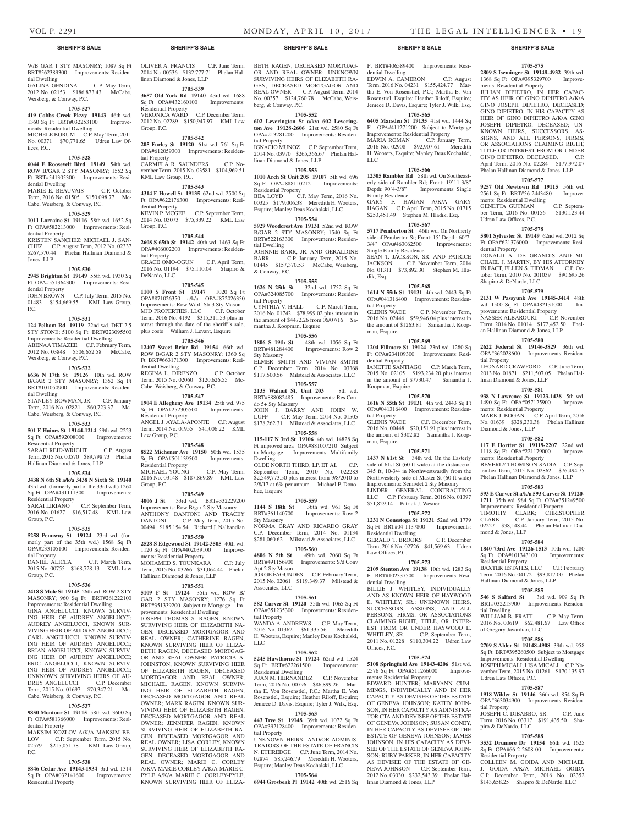**1705-575 2809 S Iseminger St 19148-4932** 39th wd. 1368 Sq Ft OPA#395329700 Improve-

JULIAN DIPIETRO, IN HER CAPAC-ITY AS HEIR OF GINO DIPIETRO A/K/A GINO JOSEPH DIPIETRO, DECEASED; GINO DIPIETRO, IN HIS CAPACITY AS HEIR OF GINO DIPIETRO A/K/A GINO JOSEPH DIPIETRO, DECEASED; UN-KNOWN HEIRS, SUCCESSORS, AS-SIGNS, AND ALL PERSONS, FIRMS, OR ASSOCIATIONS CLAIMING RIGHT, TITLE OR INTEREST FROM OR UNDER GINO DIPIETRO, DECEASED. C.P. April Term, 2016 No. 02284 \$177,972.07 Phelan Hallinan Diamond & Jones, LLP **1705-577 9257 Old Newtown Rd 19115** 56th wd. 2561 Sq Ft BRT#56-2443480 Improve-

ments: Residential Property

ments: Residential Dwelling

Udren Law Offices, P.C.

Shapiro & DeNardo, LLC

dential Property

tial Property

GENETTA GUTMAN C.P. September Term, 2016 No. 00156 \$130,123.44

**1705-578 5801 Sylvester St 19149** 62nd wd. 2012 Sq Ft OPA#621376000 Improvements: Resi-

DONALD A. DE GRANDIS AND MI-CHAEL J. MARTIN, BY HIS ATTORNEY IN FACT, ELLEN S. TIDMAN C.P. October Term, 2010 No. 001039 \$90,695.26

**1705-579 2131 W Passyunk Ave 19145-3414** 48th wd. 1500 Sq Ft OPA#482131000 Improvements: Residential Property

NASSER ALBAROUKI C.P. November Term, 2014 No. 01014 \$172,452.50 Phelan Hallinan Diamond & Jones, LLP **1705-580 2622 Federal St 19146-3829** 36th wd. OPA#362028600 Improvements: Residen-

LEONARD CRAWFORD C.P. June Term, 2013 No. 01871 \$211,507.05 Phelan Hal-

**1705-581 938 N Lawrence St 19123-1438** 5th wd. 1490 Sq Ft OPA#057125900 Improve-

MARK J. BOGAN C.P. April Term, 2016 No. 01639 \$328,230.38 Phelan Hallinan

**1705-582 117 E Hortter St 19119-2207** 22nd wd. 1118 Sq Ft OPA#221179000 Improve-

BEVERLY THOMISON-SADIA C.P. September Term, 2015 No. 02862 \$76,494.75 Phelan Hallinan Diamond & Jones, LLP **1705-583 593 E Carver St a/k/a 593 Carver St 19120- 1711** 35th wd. 984 Sq Ft OPA#351249500 Improvements: Residential Property TIMOTHY CLARK; CHRISTOPHER CLARK C.P. January Term, 2015 No. 02227 \$38,148.44 Phelan Hallinan Dia-

**1705-584 1840 73rd Ave 19126-1513** 10th wd. 1280 Sq Ft OPA#101343100 Improvements:

BAXTER ESTATES, LLC C.P. February Term, 2016 No. 04172 \$93,817.00 Phelan

**1705-585 546 S Salford St** 3rd wd. 909 Sq Ft BRT#032213900 Improvements: Residen-

WILLIAM B. PRATT C.P. May Term, 2016 No. 00619 \$62,481.67 Law Office

**1705-586 2709 S Alder St 19148-4908** 39th wd. 958 Sq Ft BRT#395260500 Subject to Mortgage Improvements: Residential Dwelling JOSEPH MICALI; LISA MICALI C.P. November Term, 2015 No. 01261 \$170,135.97

**1705-587 1918 Wilder St 19146** 36th wd. 854 Sq Ft OPA#363034900 Improvements: Residen-

JOSEPH C. DIBABBO, SR. C.P. June Term, 2016 No. 03317 \$191,435.50 Sha-

**1705-588 3532 Drumore Dr 19154** 66th wd. 1625 Sq Ft OPA#66-2-2608-00 Improvements:

COLLEEN M. GOIDA AND MICHAEL J. GOIDA A/K/A MICHAEL GOIDA C.P. December Term, 2016 No. 02352 \$143,658.25 Shapiro & DeNardo, LLC

Hallinan Diamond & Jones, LLP

of Gregory Javardian, LLC

Udren Law Offices, P.C.

piro & DeNardo, LLC

Residential Property

tial Property

linan Diamond & Jones, LLP

ments: Residential Property

ments: Residential Property

mond & Jones, LLP

Residential Property

tial Dwelling

Diamond & Jones, LLP

W/B GAR 1 STY MASONRY; 1087 Sq Ft BRT#562389300 Improvements: Residential Dwelling

GALINA GENDINA C.P. May Term, 2012 No. 02153 \$186,873.43 McCabe, Weisberg, & Conway, P.C.

#### **1705-527**

**419 Cobbs Creek Pkwy 19143** 46th wd. 1360 Sq Ft BRT#032253100 Improvements: Residential Dwelling MICHELE BORUM C.P. May Term, 2011 No. 00371 \$70,771.65 Udren Law Offices, P.C.

### **1705-528**

**6044 E Roosevelt Blvd 19149** 54th wd. ROW B/GAR 2 STY MASONRY: 1552 Sq Ft BRT#541305300 Improvements: Residential Dwelling

MARIE E. BEAUVAIS C.P. October Term, 2016 No. 01505 \$150,098.77 Mc-Cabe, Weisberg, & Conway, P.C.

#### **1705-529**

**1011 Lorraine St 19116** 58th wd. 1652 Sq Ft OPA#582213000 Improvements: Residential Property

KRISTEN SANCHEZ; MICHAEL J. SAN-CHEZ C.P. August Term, 2012 No. 02337 \$267,570.44 Phelan Hallinan Diamond & Jones, LLP

#### **1705-530**

**2945 Brighton St 19149** 55th wd. 1930 Sq Ft OPA#551364300 Improvements: Residential Property

JOHN BROWN C.P. July Term, 2015 No. 01483 \$154,669.55 KML Law Group, P.C.

#### **1705-531**

**124 Pelham Rd 19119** 22nd wd. DET 2.5 STY STONE; 5100 Sq Ft BRT#223095500 Improvements: Residential Dwelling ABENAA TIMAZEE C.P. February Term, 2012 No. 03848 \$506,652.58 McCabe, Weisberg, & Conway, P.C.

# **1705-532**

**6636 N 17th St 19126** 10th wd. ROW B/GAR 2 STY MASONRY; 1352 Sq Ft BRT#101050900 Improvements: Residential Dwelling

STANLEY BOWMAN, JR. C.P. January Term, 2016 No. 02821 \$60,723.37 Mc-Cabe, Weisberg, & Conway, P.C.

#### **1705-533**

**501 E Haines St 19144-1214** 59th wd. 2223 Sq Ft OPA#592008000 Improvements: Residential Property

SARAH REID-WRIGHT C.P. August Term, 2015 No. 00570 \$89,798.73 Phelan Hallinan Diamond & Jones, LLP

#### **1705-534**

**3438 N 6th St a/k/a 3438 N Sixth St 19140**  43rd wd. (formerly part of the 33rd wd.) 1260 Sq Ft OPA#431111300 Improvements: Residential Property

SARAI LIRIANO C.P. September Term, 2016 No. 01627 \$16,517.48 KML Law Group, P.C.

#### **1705-535**

**5258 Pennway St 19124** 23rd wd. (formerly part of the 35th wd.) 1568 Sq Ft OPA#233105100 Improvements: Residential Property

DANIEL ALICEA C.P. March Term, 2015 No. 00755 \$168,728.13 KML Law Group, P.C.

#### **1705-536**

**2418 S Mole St 19145** 26th wd. ROW 2 STY MASONRY; 960 Sq Ft BRT#261222100

Improvements: Residential Dwelling GINA ANGELUCCI, KNOWN SURVIV-ING HEIR OF AUDREY ANGELUCCI; AUDREY ANGELUCCI, KNOWN SUR-VIVING HEIR OF AUDREY ANGELUCCI; CARL ANGELUCCI, KNOWN SURVIV-ING HEIR OF AUDREY ANGELUCCI; BRIAN ANGELUCCI, KNOWN SURVIV-ING HEIR OF AUDREY ANGELUCCI; ERIC ANGELUCCI, KNOWN SURVIV-ING HEIR OF AUDREY ANGELUCCI; UNKNOWN SURVIVING HEIRS OF AU-DREY ANGELUCCI C.P. December Term, 2015 No. 01697 \$70,347.21 Mc-Cabe, Weisberg, & Conway, P.C.

#### **1705-537**

**9850 Montour St 19115** 58th wd. 3600 Sq Ft OPA#581366000 Improvements: Residential Property

MAKSIM KOZLOV A/K/A MAKSIM BE-LOV C.P. September Term, 2015 No.<br>02579 \$215.051.78 KML Law Group.  $$215,051.78$  KML Law Group, P.C.

### **1705-538**

**5846 Cedar Ave 19143-1934** 3rd wd. 1314 Sq Ft OPA#032141600 Improvements: Residential Property

OLIVER A. FRANCIS C.P. June Term, 2014 No. 00536 \$132,777.71 Phelan Hallinan Diamond & Jones, LLP

**1705-539**

**3657 Old York Rd 19140** 43rd wd. 1688 Sq Ft OPA#432160100 Improvements: Residential Property VERONICA WARD C.P. December Term, 2012 No. 02289 \$150,947.97 KML Law Group, P.C.

#### **1705-542**

**205 Furley St 19120** 61st wd. 761 Sq Ft OPA#612059300 Improvements: Residential Property CARMELA R. SAUNDERS C.P. November Term, 2015 No. 03581 \$104,969.51

KML Law Group, P.C. **1705-543**

**4314 E Howell St 19135** 62nd wd. 2500 Sq Ft OPA#622176300 Improvements: Resi-

dential Property KEVIN P. MCGEE C.P. September Term, 2014 No. 03073 \$75,339.22 KML Law Group, P.C.

#### **1705-544**

**2608 S 65th St 19142** 40th wd. 1463 Sq Ft OPA#406002200 Improvements: Residential Property GRACE OMO-OGUN C.P. April Term, 2016 No. 01194 \$75,110.04 Shapiro & DeNardo, LLC

#### **1705-545**

**1100 S Front St 19147** 1020 Sq Ft OPA#871026350 a/k/a OPA#872026350 Improvements: Row W/off Str 3 Sty Mason MJD PROPERTIES, LLC C.P. October Term, 2016 No. 4192 \$315,311.53 plus interest through the date of the sheriff's sale, plus costs William J. Levant, Esquire

### **1705-546**

**12407 Sweet Briar Rd 19154** 66th wd. ROW B/GAR 2 STY MASONRY; 1360 Sq Ft BRT#663171300 Improvements: Residential Dwelling REGINA L. DIRENZO C.P. October Term, 2015 No. 02060 \$120,626.55 Mc-Cabe, Weisberg, & Conway, P.C.

# **1705-547**

**1904 E Allegheny Ave 19134** 25th wd. 975 Sq Ft OPA#252305500 Improvements: Residential Property ANGEL J. AYALA-APONTE C.P. August Term, 2014 No. 01955 \$41,006.22 KML Law Group, P.C.

#### **1705-548**

**8522 Michener Ave 19150** 50th wd. 1535 Sq Ft OPA#501139500 Improvements: Residential Property MICHAEL YOUNG C.P. May Term, 2016 No. 03148 \$187,869.89 KML Law Group, P.C.

# **1705-549**

**4006 J St** 33rd wd. BRT#332229200 Improvements: Row B/gar 2 Sty Masonry ANTHONY DANTONI AND TRACEY DANTONI C.P. May Term, 2015 No. 00494 \$185,154.54 Richard J. Nalbandian **1705-550**

**2528 S Edgewood St 19142-3505** 40th wd. 1120 Sq Ft OPA#402039100 Improvements: Residential Property

MOHAMED S. TOUNKARA C.P. July Term, 2015 No. 03266 \$31,064.44 Phelan Hallinan Diamond & Jones, LLP

**1705-551 5109 F St 19124** 35th wd. ROW B/ GAR 2 STY MASONRY; 1276 Sq Ft BRT#351339200 Subject to Mortgage Improvements: Residential Dwelling JOSEPH THOMAS S. RAGEN, KNOWN SURVIVING HEIR OF ELIZABETH NA-GEN, DECEASED MORTGAGOR AND REAL OWNER; CATHERINE RAGEN, KNOWN SURVIVING HEIR OF ELIZA-BETH RAGEN, DECEASED MORTGAG-OR AND REAL OWNER; PATRICIA A. JOHNSTON, KNOWN SURVIVING HEIR OF ELIZABETH RAGEN, DECEASED MORTGAGOR AND REAL OWNER; MICHAEL RAGEN, KNOWN SURVIV-ING HEIR OF ELIZABETH RAGEN, DECEASED MORTGAGOR AND REAL OWNER; MARK RAGEN, KNOWN SUR-VIVING HEIR OF ELIZABETH RAGEN, DECEASED MORTGAGOR AND REAL OWNER; JENNIFER RAGEN, KNOWN SURVIVING HEIR OF ELIZABETH RA-GEN, DECEASED MORTGAGOR AND REAL OWNER; LISA CORLEY, KNOWN SURVIVING HEIR OF ELIZABETH RA-GEN, DECEASED MORTGAGOR AND REAL OWNER; MARIE C. CORLEY A/K/A MARIE CORLEY A/K/A MARIE C. PYLE A/K/A MARIE C. CORLEY-PYLE; KNOWN SURVIVING HEIR OF ELIZA-

#### **SHERIFF'S SALE SHERIFF'S SALE SHERIFF'S SALE SHERIFF'S SALE SHERIFF'S SALE**

BETH RAGEN, DECEASED MORTGAG-OR AND REAL OWNER; UNKNOWN SURVIVING HEIRS OF ELIZABETH RA-GEN, DECEASED MORTGAGOR AND REAL OWNER C.P. August Term, 2014 No. 00357 \$124,760.78 McCabe, Weisberg, & Conway, P.C.

### **1705-552**

**602 Leverington St a/k/a 602 Leverington Ave 19128-2606** 21st wd. 2580 Sq Ft OPA#213281200 Improvements: Residential Property IGNACIO MUNOZ C.P. September Term,

2014 No. 03970 \$265,366.67 Phelan Hallinan Diamond & Jones, LLP **1705-553**

# **1010 Arch St Unit 205 19107** 5th wd. 696

Sq Ft OPA#888110212 Improvements: Residential Property BEA LOYD C.P. May Term, 2016 No. 00325 \$179,006.38 Meredith H. Wooters, Esquire; Manley Deas Kochalski, LLC

### **1705-554**

**5929 Woodcrest Ave 19131** 52nd wd. ROW B/GAR 2 STY MASONRY; 1540 Sq Ft BRT#522163300 Improvements: Residential Dwelling JOHNNIE BARR, JR. AND GERALDINE<br>BARR C.P. January Term, 2015 No. C.P. January Term, 2015 No. 01445 \$157,370.53 McCabe, Weisberg, & Conway, P.C.

# **1705-555**

**1626 N 25th St** 32nd wd. 1752 Sq Ft OPA#324085700 Improvements: Residential Property CYNTHIA V. HALL C.P. March Term, 2016 No. 01742 \$78,999.02 plus interest in the amount of \$4472.26 from 06/07/16 Samantha J. Koopman, Esquire

**1705-556 1806 S 19th St** 48th wd. 1056 Sq Ft BRT#481284400 Improvements: Row 2 Sty Masonry ELMER SMITH AND VIVIAN SMITH C.P. December Term, 2014 No. 03368 \$117,500.56 Milstead & Associates, LLC

# **1705-557**

**2135 Walnut St, Unit 203** 8th wd. BRT#888082485 Improvements: Res Condo 5+ Sty Masonry JOHN J. BARRY AND JOHN W. LUFF C.P. May Term, 2014 No. 01505 \$178,262.31 Milstead & Associates, LLC

#### **1705-558**

**115-117 N 3rd St 19106** 4th wd. 14828 Sq Ft improved area OPA#881007210 Subject to Mortgage Improvements: Multifamily Dwelling

OLDE NORTH THIRD, LP, ET AL C.P. September Term, 2010 No. 022283 \$2,549,773.50 plus interest from 9/8/2010 to 2/8/17 at 6% per annum Michael P. Donohue, Esquire

#### **1705-559**

**1144 S 18th St** 36th wd. 961 Sq Ft BRT#361140700 Improvements: Row 2 Sty Masonry NORMA GRAY AND RICARDO GRAY C.P. December Term, 2014 No. 01134 \$281,060.62 Milstead & Associates, LLC

**1705-560**<br>**4806** N 5th St 49th v 49th wd. 2060 Sq Ft BRT#491156900 Improvements: S/d Conv Apt 2 Sty Mason JORGE FAGUNDES C.P. February Term, 2015 No. 02061 \$119,349.37 Milstead & Associates, LLC

#### **1705-561**

**582 Carver St 19120** 35th wd. 1065 Sq Ft OPA#351235300 Improvements: Residential Property WANDA A. ANDREWS C.P. May Term,

2016 No. 01362 \$61,335.56 Meredith H. Wooters, Esquire; Manley Deas Kochalski, LLC

#### **1705-562**

**5245 Hawthorne St 19124** 62nd wd. 1524 Sq Ft BRT#622261500 Improvements: Residential Dwelling JUAN M. HERNANDEZ C.P. November

Term, 2016 No. 00796 \$86,899.26 Martha E. Von Rosenstiel, P.C.; Martha E. Von Rosenstiel, Esquire; Heather Riloff, Esquire: Jeniece D. Davis, Esquire; Tyler J. Wilk, Esq. **1705-563**

#### **443 Tree St 19148** 39th wd. 1072 Sq Ft OPA#392128400 Improvements: Residential Property

UNKNOWN HEIRS AND/OR ADMINIS-TRATORS OF THE ESTATE OF FRANCIS N. ETHREDGE C.P. June Term, 2014 No. 02874 \$85,246.79 Meredith H. Wooters, Esquire; Manley Deas Kochalski, LLC

#### **1705-564**

**6944 Grosbeak Pl 19142** 40th wd. 2516 Sq

Ft BRT#406589400 Improvements: Residential Dwelling

EDWIN A. CAMERON C.P. August Term, 2016 No. 04231 \$155,424.77 Martha E. Von Rosenstiel, P.C.; Martha E. Von Rosenstiel, Esquire; Heather Riloff, Esquire; Jeniece D. Davis, Esquire; Tyler J. Wilk, Esq.

# **1705-565**

**6405 Marsden St 19135** 41st wd. 1444 Sq Ft OPA#411271200 Subject to Mortgage Improvements: Residential Property MARIA ROMAN C.P. January Term, 2016 No. 02908 \$92,907.61 Meredith H. Wooters, Esquire; Manley Deas Kochalski,  $LI$ 

erly side of Rambler Rd; Front: 19'11-3/8" Depth: 90'4-3/8" Improvements: Single

GARY F. HAGAN A/K/A GARY HAGAN C.P. April Term, 2015 No. 01715 \$253,451.49 Stephen M. Hladik, Esq. **1705-567 5717 Pemberton St** 46th wd. On Northerly side of Pemberton St; Front: 15' Depth: 60'7- 3/4" OPA#463062500 Improvements:

SEAN T. JACKSON, SR. AND PATRICE JACKSON C.P. November Term, 2014 No. 01311 \$73,892.30 Stephen M. Hla-

**1705-568 1614 N 55th St 19131** 4th wd. 2443 Sq Ft OPA#041316400 Improvements: Residen-

2016 No. 02446 \$59,946.04 plus interest in the amount of \$1263.81 Samantha J. Koop-

**1705-569 1204 Fillmore St 19124** 23rd wd. 1280 Sq Ft OPA#234109300 Improvements: Resi-

IANETTE SANTIAGO C.P. March Term, 2015 No. 02105 \$193,234.20 plus interest in the amount of \$7730.47 Samantha J.

**1705-570 1616 N 55th St 19131** 4th wd. 2443 Sq Ft OPA#041316400 Improvements: Residen-

2016 No. 00448 \$20,151.91 plus interest in the amount of \$302.82 Samantha J. Koop-

**1705-571** 1437 N 61st St 34th wd. On the Easterly side of 61st St (60 ft wide) at the distance of 345 ft, 10-3/4 in Northwestwardly from the Northwesterly side of Master St (60 ft wide) Improvements: Semi/det 2 Sty Masonry LINDER GENERAL CONTRACTING LLC C.P. February Term, 2016 No. 01397

**1705-572 1231 N Conestoga St 19131** 52nd wd. 1779 Sq Ft BRT#04-1137800 Improvements:

GERALD T. BROOKS C.P. December Term, 2016 No. 02726 \$41,569.63 Udren

**1705-573 2109 Stenton Ave 19138** 10th wd. 1283 Sq Ft BRT#102337500 Improvements: Resi-

BILLIE J. WHITLEY, INDIVIDUALLY AND AS KNOWN HEIR OF HAYWOOD E. WHITLEY, SR.; UNKNOWN HEIRS, SUCCESSORS, ASSIGNS, AND ALL PERSONS, FIRMS, OR ASSOCIATIONS CLAIMING RIGHT, TITLE, OR INTER-EST FROM OR UNDER HAYWOOD E. WHITLEY, SR. C.P. September Term, 2011 No. 01228 \$110,304.22 Udren Law

**1705-574 5108 Springfield Ave 19143-4206** 51st wd. 2576 Sq Ft OPA#511266000 Improve-

EDWARD HUNTER; MARYANN CUM-MINGS, INDIVIDUALLY AND IN HER CAPACITY AS DEVISEE OF THE ESTATE OF GENEVA JOHNSON; KATHY JOHN-SON, IN HER CAPACITY AS ADINISTRA-TOR CTA AND DEVISEE OF THE ESTATE OF GENEVA JOHNSON; SUSAN CONEY, IN HER CAPACITY AS DEVISEE OF THE ESTATE OF GENEVA JOHNSON; JAMES JOHNSON, IN HIS CAPACITY AS DEVI-SEE OF THE ESTATE OF GENEVA JOHN-SON; RUBY PARKER, IN HER CAPACITY AS DEVISEE OF THE ESTATE OF GE-NEVA JOHNSON C.P. September Term, 2012 No. 03030 \$232,543.39 Phelan Hal-

\$51,829.14 Patrick J. Wesner

Residential Dwelling

Law Offices, P.C.

dential Dwelling

Offices, P.C.

ments: Residential Property

linan Diamond & Jones, LLP

C.P. November Term,

C.P. December Term,

#### **1705-566 12305 Rambler Rd** 58th wd. On Southeast-

Family Residence

Single Family Residence

dik, Esq.

tial Property

man, Esquire

dential Property

Koopman, Esquire

tial Property

man, Esquire